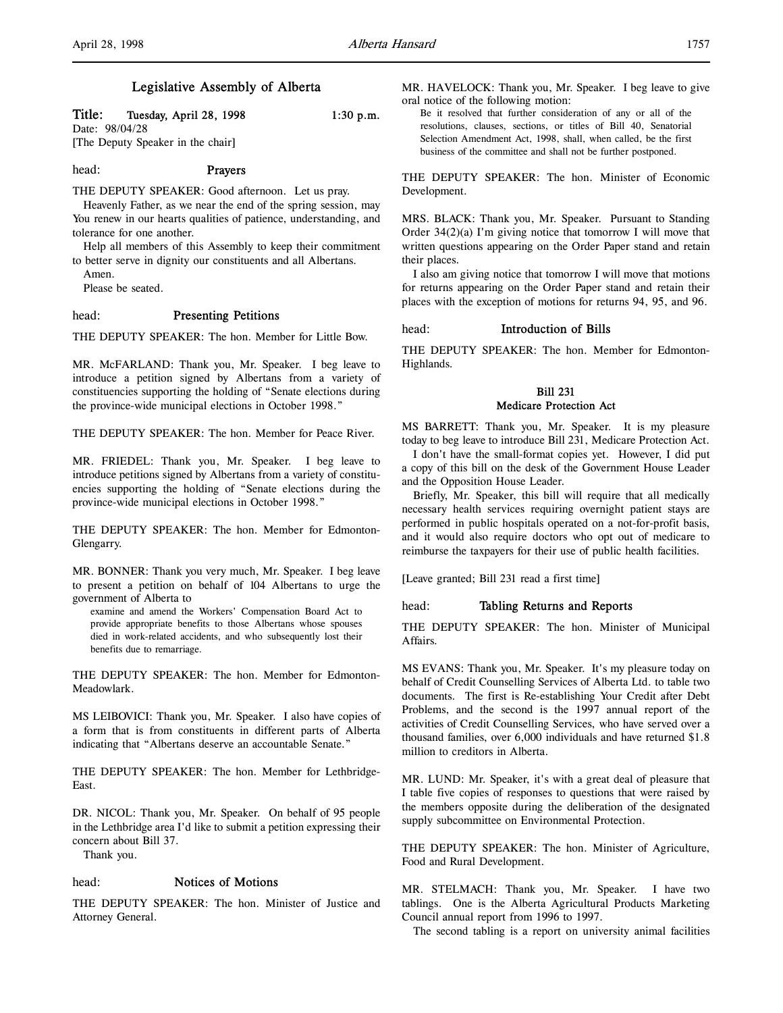## Legislative Assembly of Alberta

## Title: Tuesday, April 28, 1998 1:30 p.m.

Date: 98/04/28 [The Deputy Speaker in the chair]

## head: Prayers

THE DEPUTY SPEAKER: Good afternoon. Let us pray.

Heavenly Father, as we near the end of the spring session, may You renew in our hearts qualities of patience, understanding, and tolerance for one another.

Help all members of this Assembly to keep their commitment to better serve in dignity our constituents and all Albertans.

Amen.

Please be seated.

## head: Presenting Petitions

THE DEPUTY SPEAKER: The hon. Member for Little Bow.

MR. McFARLAND: Thank you, Mr. Speaker. I beg leave to introduce a petition signed by Albertans from a variety of constituencies supporting the holding of "Senate elections during the province-wide municipal elections in October 1998."

THE DEPUTY SPEAKER: The hon. Member for Peace River.

MR. FRIEDEL: Thank you, Mr. Speaker. I beg leave to introduce petitions signed by Albertans from a variety of constituencies supporting the holding of "Senate elections during the province-wide municipal elections in October 1998."

THE DEPUTY SPEAKER: The hon. Member for Edmonton-Glengarry.

MR. BONNER: Thank you very much, Mr. Speaker. I beg leave to present a petition on behalf of 104 Albertans to urge the government of Alberta to

examine and amend the Workers' Compensation Board Act to provide appropriate benefits to those Albertans whose spouses died in work-related accidents, and who subsequently lost their benefits due to remarriage.

THE DEPUTY SPEAKER: The hon. Member for Edmonton-Meadowlark.

MS LEIBOVICI: Thank you, Mr. Speaker. I also have copies of a form that is from constituents in different parts of Alberta indicating that "Albertans deserve an accountable Senate."

THE DEPUTY SPEAKER: The hon. Member for Lethbridge-East.

DR. NICOL: Thank you, Mr. Speaker. On behalf of 95 people in the Lethbridge area I'd like to submit a petition expressing their concern about Bill 37.

Thank you.

## head: Notices of Motions

THE DEPUTY SPEAKER: The hon. Minister of Justice and Attorney General.

MR. HAVELOCK: Thank you, Mr. Speaker. I beg leave to give oral notice of the following motion:

Be it resolved that further consideration of any or all of the resolutions, clauses, sections, or titles of Bill 40, Senatorial Selection Amendment Act, 1998, shall, when called, be the first business of the committee and shall not be further postponed.

THE DEPUTY SPEAKER: The hon. Minister of Economic Development.

MRS. BLACK: Thank you, Mr. Speaker. Pursuant to Standing Order 34(2)(a) I'm giving notice that tomorrow I will move that written questions appearing on the Order Paper stand and retain their places.

I also am giving notice that tomorrow I will move that motions for returns appearing on the Order Paper stand and retain their places with the exception of motions for returns 94, 95, and 96.

### head: Introduction of Bills

THE DEPUTY SPEAKER: The hon. Member for Edmonton-Highlands.

## Bill 231 Medicare Protection Act

MS BARRETT: Thank you, Mr. Speaker. It is my pleasure today to beg leave to introduce Bill 231, Medicare Protection Act.

I don't have the small-format copies yet. However, I did put a copy of this bill on the desk of the Government House Leader and the Opposition House Leader.

Briefly, Mr. Speaker, this bill will require that all medically necessary health services requiring overnight patient stays are performed in public hospitals operated on a not-for-profit basis, and it would also require doctors who opt out of medicare to reimburse the taxpayers for their use of public health facilities.

[Leave granted; Bill 231 read a first time]

## head: Tabling Returns and Reports

THE DEPUTY SPEAKER: The hon. Minister of Municipal Affairs.

MS EVANS: Thank you, Mr. Speaker. It's my pleasure today on behalf of Credit Counselling Services of Alberta Ltd. to table two documents. The first is Re-establishing Your Credit after Debt Problems, and the second is the 1997 annual report of the activities of Credit Counselling Services, who have served over a thousand families, over 6,000 individuals and have returned \$1.8 million to creditors in Alberta.

MR. LUND: Mr. Speaker, it's with a great deal of pleasure that I table five copies of responses to questions that were raised by the members opposite during the deliberation of the designated supply subcommittee on Environmental Protection.

THE DEPUTY SPEAKER: The hon. Minister of Agriculture, Food and Rural Development.

MR. STELMACH: Thank you, Mr. Speaker. I have two tablings. One is the Alberta Agricultural Products Marketing Council annual report from 1996 to 1997.

The second tabling is a report on university animal facilities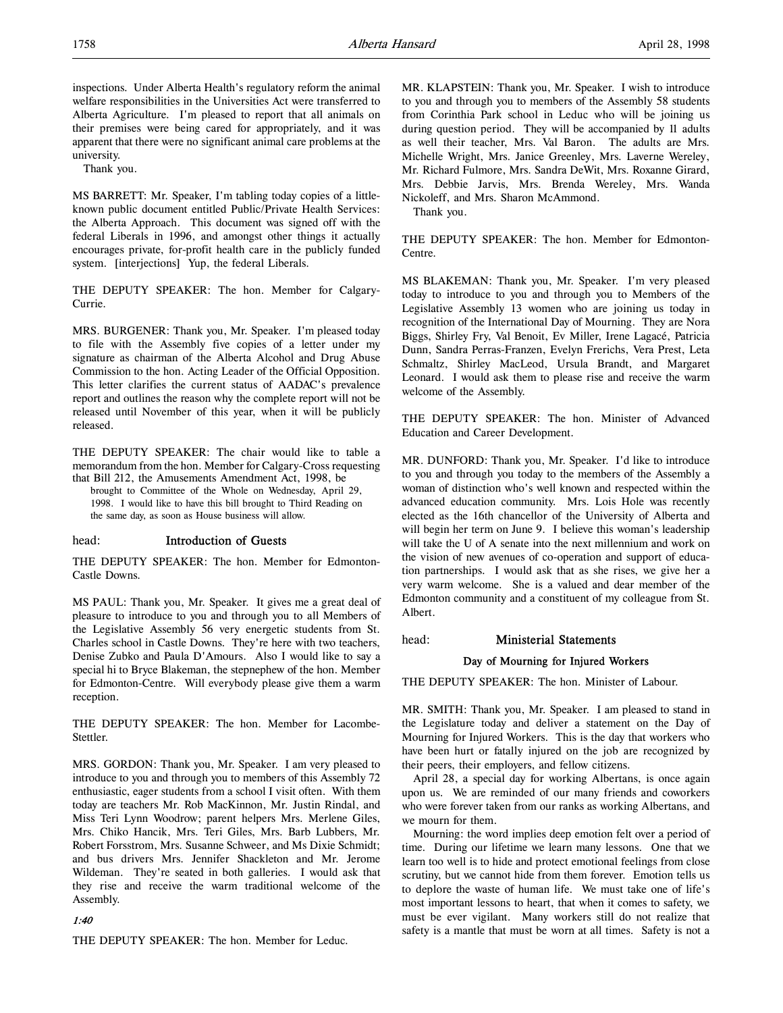inspections. Under Alberta Health's regulatory reform the animal welfare responsibilities in the Universities Act were transferred to Alberta Agriculture. I'm pleased to report that all animals on their premises were being cared for appropriately, and it was apparent that there were no significant animal care problems at the university.

Thank you.

MS BARRETT: Mr. Speaker, I'm tabling today copies of a littleknown public document entitled Public/Private Health Services: the Alberta Approach. This document was signed off with the federal Liberals in 1996, and amongst other things it actually encourages private, for-profit health care in the publicly funded system. [interjections] Yup, the federal Liberals.

THE DEPUTY SPEAKER: The hon. Member for Calgary-Currie.

MRS. BURGENER: Thank you, Mr. Speaker. I'm pleased today to file with the Assembly five copies of a letter under my signature as chairman of the Alberta Alcohol and Drug Abuse Commission to the hon. Acting Leader of the Official Opposition. This letter clarifies the current status of AADAC's prevalence report and outlines the reason why the complete report will not be released until November of this year, when it will be publicly released.

THE DEPUTY SPEAKER: The chair would like to table a memorandum from the hon. Member for Calgary-Cross requesting that Bill 212, the Amusements Amendment Act, 1998, be

brought to Committee of the Whole on Wednesday, April 29, 1998. I would like to have this bill brought to Third Reading on the same day, as soon as House business will allow.

### head: Introduction of Guests

THE DEPUTY SPEAKER: The hon. Member for Edmonton-Castle Downs.

MS PAUL: Thank you, Mr. Speaker. It gives me a great deal of pleasure to introduce to you and through you to all Members of the Legislative Assembly 56 very energetic students from St. Charles school in Castle Downs. They're here with two teachers, Denise Zubko and Paula D'Amours. Also I would like to say a special hi to Bryce Blakeman, the stepnephew of the hon. Member for Edmonton-Centre. Will everybody please give them a warm reception.

THE DEPUTY SPEAKER: The hon. Member for Lacombe-Stettler.

MRS. GORDON: Thank you, Mr. Speaker. I am very pleased to introduce to you and through you to members of this Assembly 72 enthusiastic, eager students from a school I visit often. With them today are teachers Mr. Rob MacKinnon, Mr. Justin Rindal, and Miss Teri Lynn Woodrow; parent helpers Mrs. Merlene Giles, Mrs. Chiko Hancik, Mrs. Teri Giles, Mrs. Barb Lubbers, Mr. Robert Forsstrom, Mrs. Susanne Schweer, and Ms Dixie Schmidt; and bus drivers Mrs. Jennifer Shackleton and Mr. Jerome Wildeman. They're seated in both galleries. I would ask that they rise and receive the warm traditional welcome of the Assembly.

### 1:40

THE DEPUTY SPEAKER: The hon. Member for Leduc.

MR. KLAPSTEIN: Thank you, Mr. Speaker. I wish to introduce to you and through you to members of the Assembly 58 students from Corinthia Park school in Leduc who will be joining us during question period. They will be accompanied by 11 adults as well their teacher, Mrs. Val Baron. The adults are Mrs. Michelle Wright, Mrs. Janice Greenley, Mrs. Laverne Wereley, Mr. Richard Fulmore, Mrs. Sandra DeWit, Mrs. Roxanne Girard, Mrs. Debbie Jarvis, Mrs. Brenda Wereley, Mrs. Wanda Nickoleff, and Mrs. Sharon McAmmond.

Thank you.

THE DEPUTY SPEAKER: The hon. Member for Edmonton-Centre.

MS BLAKEMAN: Thank you, Mr. Speaker. I'm very pleased today to introduce to you and through you to Members of the Legislative Assembly 13 women who are joining us today in recognition of the International Day of Mourning. They are Nora Biggs, Shirley Fry, Val Benoit, Ev Miller, Irene Lagacé, Patricia Dunn, Sandra Perras-Franzen, Evelyn Frerichs, Vera Prest, Leta Schmaltz, Shirley MacLeod, Ursula Brandt, and Margaret Leonard. I would ask them to please rise and receive the warm welcome of the Assembly.

THE DEPUTY SPEAKER: The hon. Minister of Advanced Education and Career Development.

MR. DUNFORD: Thank you, Mr. Speaker. I'd like to introduce to you and through you today to the members of the Assembly a woman of distinction who's well known and respected within the advanced education community. Mrs. Lois Hole was recently elected as the 16th chancellor of the University of Alberta and will begin her term on June 9. I believe this woman's leadership will take the U of A senate into the next millennium and work on the vision of new avenues of co-operation and support of education partnerships. I would ask that as she rises, we give her a very warm welcome. She is a valued and dear member of the Edmonton community and a constituent of my colleague from St. Albert.

head: Ministerial Statements

# Day of Mourning for Injured Workers

THE DEPUTY SPEAKER: The hon. Minister of Labour.

MR. SMITH: Thank you, Mr. Speaker. I am pleased to stand in the Legislature today and deliver a statement on the Day of Mourning for Injured Workers. This is the day that workers who have been hurt or fatally injured on the job are recognized by their peers, their employers, and fellow citizens.

April 28, a special day for working Albertans, is once again upon us. We are reminded of our many friends and coworkers who were forever taken from our ranks as working Albertans, and we mourn for them.

Mourning: the word implies deep emotion felt over a period of time. During our lifetime we learn many lessons. One that we learn too well is to hide and protect emotional feelings from close scrutiny, but we cannot hide from them forever. Emotion tells us to deplore the waste of human life. We must take one of life's most important lessons to heart, that when it comes to safety, we must be ever vigilant. Many workers still do not realize that safety is a mantle that must be worn at all times. Safety is not a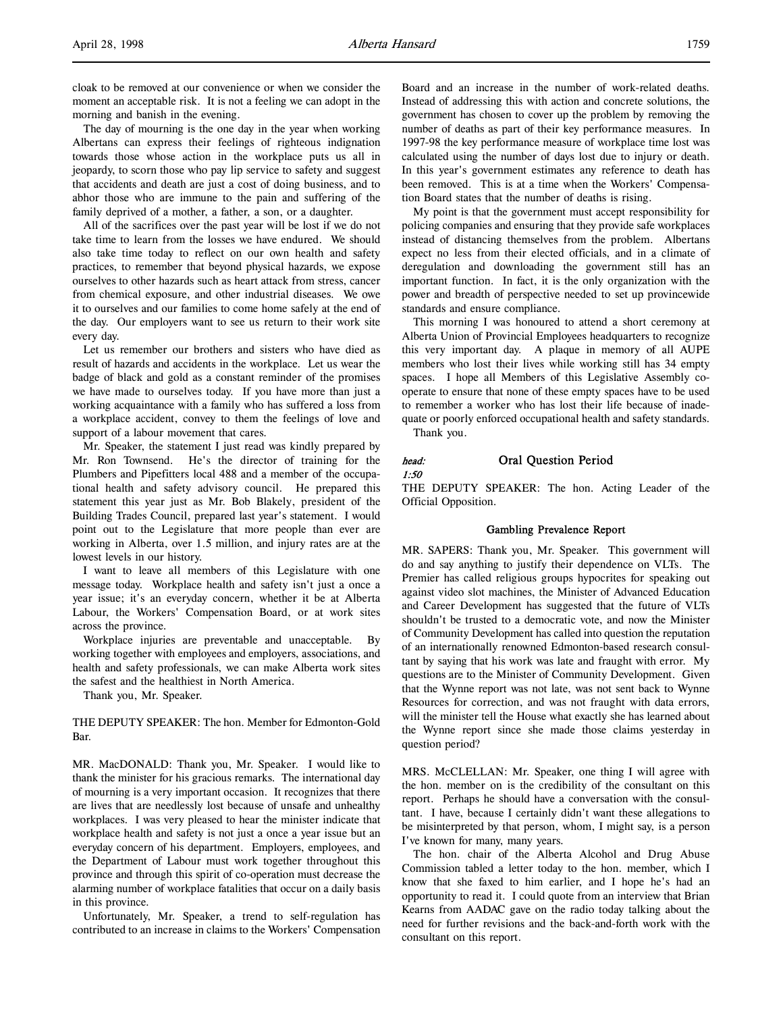cloak to be removed at our convenience or when we consider the moment an acceptable risk. It is not a feeling we can adopt in the morning and banish in the evening.

The day of mourning is the one day in the year when working Albertans can express their feelings of righteous indignation towards those whose action in the workplace puts us all in jeopardy, to scorn those who pay lip service to safety and suggest that accidents and death are just a cost of doing business, and to abhor those who are immune to the pain and suffering of the family deprived of a mother, a father, a son, or a daughter.

All of the sacrifices over the past year will be lost if we do not take time to learn from the losses we have endured. We should also take time today to reflect on our own health and safety practices, to remember that beyond physical hazards, we expose ourselves to other hazards such as heart attack from stress, cancer from chemical exposure, and other industrial diseases. We owe it to ourselves and our families to come home safely at the end of the day. Our employers want to see us return to their work site every day.

Let us remember our brothers and sisters who have died as result of hazards and accidents in the workplace. Let us wear the badge of black and gold as a constant reminder of the promises we have made to ourselves today. If you have more than just a working acquaintance with a family who has suffered a loss from a workplace accident, convey to them the feelings of love and support of a labour movement that cares.

Mr. Speaker, the statement I just read was kindly prepared by Mr. Ron Townsend. He's the director of training for the Plumbers and Pipefitters local 488 and a member of the occupational health and safety advisory council. He prepared this statement this year just as Mr. Bob Blakely, president of the Building Trades Council, prepared last year's statement. I would point out to the Legislature that more people than ever are working in Alberta, over 1.5 million, and injury rates are at the lowest levels in our history.

I want to leave all members of this Legislature with one message today. Workplace health and safety isn't just a once a year issue; it's an everyday concern, whether it be at Alberta Labour, the Workers' Compensation Board, or at work sites across the province.

Workplace injuries are preventable and unacceptable. By working together with employees and employers, associations, and health and safety professionals, we can make Alberta work sites the safest and the healthiest in North America.

Thank you, Mr. Speaker.

THE DEPUTY SPEAKER: The hon. Member for Edmonton-Gold Bar.

MR. MacDONALD: Thank you, Mr. Speaker. I would like to thank the minister for his gracious remarks. The international day of mourning is a very important occasion. It recognizes that there are lives that are needlessly lost because of unsafe and unhealthy workplaces. I was very pleased to hear the minister indicate that workplace health and safety is not just a once a year issue but an everyday concern of his department. Employers, employees, and the Department of Labour must work together throughout this province and through this spirit of co-operation must decrease the alarming number of workplace fatalities that occur on a daily basis in this province.

Unfortunately, Mr. Speaker, a trend to self-regulation has contributed to an increase in claims to the Workers' Compensation

Board and an increase in the number of work-related deaths. Instead of addressing this with action and concrete solutions, the government has chosen to cover up the problem by removing the number of deaths as part of their key performance measures. In 1997-98 the key performance measure of workplace time lost was calculated using the number of days lost due to injury or death. In this year's government estimates any reference to death has been removed. This is at a time when the Workers' Compensation Board states that the number of deaths is rising.

My point is that the government must accept responsibility for policing companies and ensuring that they provide safe workplaces instead of distancing themselves from the problem. Albertans expect no less from their elected officials, and in a climate of deregulation and downloading the government still has an important function. In fact, it is the only organization with the power and breadth of perspective needed to set up provincewide standards and ensure compliance.

This morning I was honoured to attend a short ceremony at Alberta Union of Provincial Employees headquarters to recognize this very important day. A plaque in memory of all AUPE members who lost their lives while working still has 34 empty spaces. I hope all Members of this Legislative Assembly cooperate to ensure that none of these empty spaces have to be used to remember a worker who has lost their life because of inadequate or poorly enforced occupational health and safety standards. Thank you.

### head: Oral Question Period 1:50

THE DEPUTY SPEAKER: The hon. Acting Leader of the Official Opposition.

### Gambling Prevalence Report

MR. SAPERS: Thank you, Mr. Speaker. This government will do and say anything to justify their dependence on VLTs. The Premier has called religious groups hypocrites for speaking out against video slot machines, the Minister of Advanced Education and Career Development has suggested that the future of VLTs shouldn't be trusted to a democratic vote, and now the Minister of Community Development has called into question the reputation of an internationally renowned Edmonton-based research consultant by saying that his work was late and fraught with error. My questions are to the Minister of Community Development. Given that the Wynne report was not late, was not sent back to Wynne Resources for correction, and was not fraught with data errors, will the minister tell the House what exactly she has learned about the Wynne report since she made those claims yesterday in question period?

MRS. McCLELLAN: Mr. Speaker, one thing I will agree with the hon. member on is the credibility of the consultant on this report. Perhaps he should have a conversation with the consultant. I have, because I certainly didn't want these allegations to be misinterpreted by that person, whom, I might say, is a person I've known for many, many years.

The hon. chair of the Alberta Alcohol and Drug Abuse Commission tabled a letter today to the hon. member, which I know that she faxed to him earlier, and I hope he's had an opportunity to read it. I could quote from an interview that Brian Kearns from AADAC gave on the radio today talking about the need for further revisions and the back-and-forth work with the consultant on this report.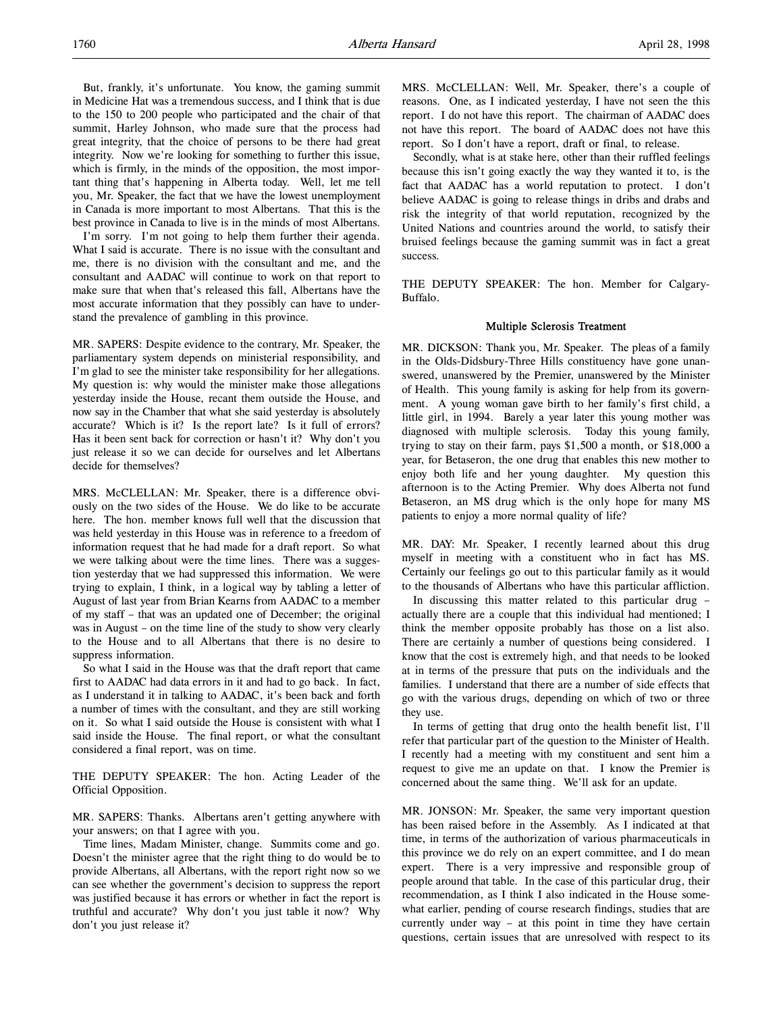But, frankly, it's unfortunate. You know, the gaming summit in Medicine Hat was a tremendous success, and I think that is due to the 150 to 200 people who participated and the chair of that summit, Harley Johnson, who made sure that the process had great integrity, that the choice of persons to be there had great integrity. Now we're looking for something to further this issue, which is firmly, in the minds of the opposition, the most important thing that's happening in Alberta today. Well, let me tell you, Mr. Speaker, the fact that we have the lowest unemployment in Canada is more important to most Albertans. That this is the best province in Canada to live is in the minds of most Albertans.

I'm sorry. I'm not going to help them further their agenda. What I said is accurate. There is no issue with the consultant and me, there is no division with the consultant and me, and the consultant and AADAC will continue to work on that report to make sure that when that's released this fall, Albertans have the most accurate information that they possibly can have to understand the prevalence of gambling in this province.

MR. SAPERS: Despite evidence to the contrary, Mr. Speaker, the parliamentary system depends on ministerial responsibility, and I'm glad to see the minister take responsibility for her allegations. My question is: why would the minister make those allegations yesterday inside the House, recant them outside the House, and now say in the Chamber that what she said yesterday is absolutely accurate? Which is it? Is the report late? Is it full of errors? Has it been sent back for correction or hasn't it? Why don't you just release it so we can decide for ourselves and let Albertans decide for themselves?

MRS. McCLELLAN: Mr. Speaker, there is a difference obviously on the two sides of the House. We do like to be accurate here. The hon. member knows full well that the discussion that was held yesterday in this House was in reference to a freedom of information request that he had made for a draft report. So what we were talking about were the time lines. There was a suggestion yesterday that we had suppressed this information. We were trying to explain, I think, in a logical way by tabling a letter of August of last year from Brian Kearns from AADAC to a member of my staff – that was an updated one of December; the original was in August – on the time line of the study to show very clearly to the House and to all Albertans that there is no desire to suppress information.

So what I said in the House was that the draft report that came first to AADAC had data errors in it and had to go back. In fact, as I understand it in talking to AADAC, it's been back and forth a number of times with the consultant, and they are still working on it. So what I said outside the House is consistent with what I said inside the House. The final report, or what the consultant considered a final report, was on time.

THE DEPUTY SPEAKER: The hon. Acting Leader of the Official Opposition.

MR. SAPERS: Thanks. Albertans aren't getting anywhere with your answers; on that I agree with you.

Time lines, Madam Minister, change. Summits come and go. Doesn't the minister agree that the right thing to do would be to provide Albertans, all Albertans, with the report right now so we can see whether the government's decision to suppress the report was justified because it has errors or whether in fact the report is truthful and accurate? Why don't you just table it now? Why don't you just release it?

MRS. McCLELLAN: Well, Mr. Speaker, there's a couple of reasons. One, as I indicated yesterday, I have not seen the this report. I do not have this report. The chairman of AADAC does not have this report. The board of AADAC does not have this report. So I don't have a report, draft or final, to release.

Secondly, what is at stake here, other than their ruffled feelings because this isn't going exactly the way they wanted it to, is the fact that AADAC has a world reputation to protect. I don't believe AADAC is going to release things in dribs and drabs and risk the integrity of that world reputation, recognized by the United Nations and countries around the world, to satisfy their bruised feelings because the gaming summit was in fact a great success.

THE DEPUTY SPEAKER: The hon. Member for Calgary-Buffalo.

#### Multiple Sclerosis Treatment

MR. DICKSON: Thank you, Mr. Speaker. The pleas of a family in the Olds-Didsbury-Three Hills constituency have gone unanswered, unanswered by the Premier, unanswered by the Minister of Health. This young family is asking for help from its government. A young woman gave birth to her family's first child, a little girl, in 1994. Barely a year later this young mother was diagnosed with multiple sclerosis. Today this young family, trying to stay on their farm, pays \$1,500 a month, or \$18,000 a year, for Betaseron, the one drug that enables this new mother to enjoy both life and her young daughter. My question this afternoon is to the Acting Premier. Why does Alberta not fund Betaseron, an MS drug which is the only hope for many MS patients to enjoy a more normal quality of life?

MR. DAY: Mr. Speaker, I recently learned about this drug myself in meeting with a constituent who in fact has MS. Certainly our feelings go out to this particular family as it would to the thousands of Albertans who have this particular affliction.

In discussing this matter related to this particular drug – actually there are a couple that this individual had mentioned; I think the member opposite probably has those on a list also. There are certainly a number of questions being considered. I know that the cost is extremely high, and that needs to be looked at in terms of the pressure that puts on the individuals and the families. I understand that there are a number of side effects that go with the various drugs, depending on which of two or three they use.

In terms of getting that drug onto the health benefit list, I'll refer that particular part of the question to the Minister of Health. I recently had a meeting with my constituent and sent him a request to give me an update on that. I know the Premier is concerned about the same thing. We'll ask for an update.

MR. JONSON: Mr. Speaker, the same very important question has been raised before in the Assembly. As I indicated at that time, in terms of the authorization of various pharmaceuticals in this province we do rely on an expert committee, and I do mean expert. There is a very impressive and responsible group of people around that table. In the case of this particular drug, their recommendation, as I think I also indicated in the House somewhat earlier, pending of course research findings, studies that are currently under way – at this point in time they have certain questions, certain issues that are unresolved with respect to its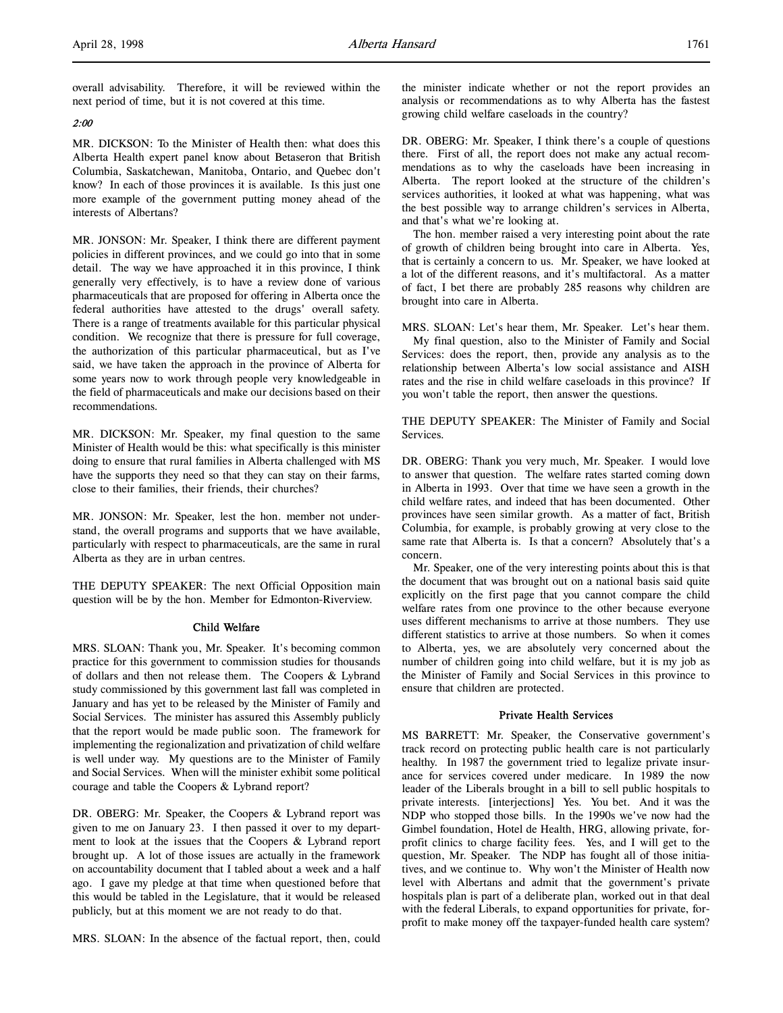overall advisability. Therefore, it will be reviewed within the next period of time, but it is not covered at this time.

## 2:00

MR. DICKSON: To the Minister of Health then: what does this Alberta Health expert panel know about Betaseron that British Columbia, Saskatchewan, Manitoba, Ontario, and Quebec don't know? In each of those provinces it is available. Is this just one more example of the government putting money ahead of the interests of Albertans?

MR. JONSON: Mr. Speaker, I think there are different payment policies in different provinces, and we could go into that in some detail. The way we have approached it in this province, I think generally very effectively, is to have a review done of various pharmaceuticals that are proposed for offering in Alberta once the federal authorities have attested to the drugs' overall safety. There is a range of treatments available for this particular physical condition. We recognize that there is pressure for full coverage, the authorization of this particular pharmaceutical, but as I've said, we have taken the approach in the province of Alberta for some years now to work through people very knowledgeable in the field of pharmaceuticals and make our decisions based on their recommendations.

MR. DICKSON: Mr. Speaker, my final question to the same Minister of Health would be this: what specifically is this minister doing to ensure that rural families in Alberta challenged with MS have the supports they need so that they can stay on their farms, close to their families, their friends, their churches?

MR. JONSON: Mr. Speaker, lest the hon. member not understand, the overall programs and supports that we have available, particularly with respect to pharmaceuticals, are the same in rural Alberta as they are in urban centres.

THE DEPUTY SPEAKER: The next Official Opposition main question will be by the hon. Member for Edmonton-Riverview.

### Child Welfare

MRS. SLOAN: Thank you, Mr. Speaker. It's becoming common practice for this government to commission studies for thousands of dollars and then not release them. The Coopers & Lybrand study commissioned by this government last fall was completed in January and has yet to be released by the Minister of Family and Social Services. The minister has assured this Assembly publicly that the report would be made public soon. The framework for implementing the regionalization and privatization of child welfare is well under way. My questions are to the Minister of Family and Social Services. When will the minister exhibit some political courage and table the Coopers & Lybrand report?

DR. OBERG: Mr. Speaker, the Coopers & Lybrand report was given to me on January 23. I then passed it over to my department to look at the issues that the Coopers & Lybrand report brought up. A lot of those issues are actually in the framework on accountability document that I tabled about a week and a half ago. I gave my pledge at that time when questioned before that this would be tabled in the Legislature, that it would be released publicly, but at this moment we are not ready to do that.

MRS. SLOAN: In the absence of the factual report, then, could

the minister indicate whether or not the report provides an analysis or recommendations as to why Alberta has the fastest growing child welfare caseloads in the country?

DR. OBERG: Mr. Speaker, I think there's a couple of questions there. First of all, the report does not make any actual recommendations as to why the caseloads have been increasing in Alberta. The report looked at the structure of the children's services authorities, it looked at what was happening, what was the best possible way to arrange children's services in Alberta, and that's what we're looking at.

The hon. member raised a very interesting point about the rate of growth of children being brought into care in Alberta. Yes, that is certainly a concern to us. Mr. Speaker, we have looked at a lot of the different reasons, and it's multifactoral. As a matter of fact, I bet there are probably 285 reasons why children are brought into care in Alberta.

MRS. SLOAN: Let's hear them, Mr. Speaker. Let's hear them.

My final question, also to the Minister of Family and Social Services: does the report, then, provide any analysis as to the relationship between Alberta's low social assistance and AISH rates and the rise in child welfare caseloads in this province? If you won't table the report, then answer the questions.

THE DEPUTY SPEAKER: The Minister of Family and Social Services.

DR. OBERG: Thank you very much, Mr. Speaker. I would love to answer that question. The welfare rates started coming down in Alberta in 1993. Over that time we have seen a growth in the child welfare rates, and indeed that has been documented. Other provinces have seen similar growth. As a matter of fact, British Columbia, for example, is probably growing at very close to the same rate that Alberta is. Is that a concern? Absolutely that's a concern.

Mr. Speaker, one of the very interesting points about this is that the document that was brought out on a national basis said quite explicitly on the first page that you cannot compare the child welfare rates from one province to the other because everyone uses different mechanisms to arrive at those numbers. They use different statistics to arrive at those numbers. So when it comes to Alberta, yes, we are absolutely very concerned about the number of children going into child welfare, but it is my job as the Minister of Family and Social Services in this province to ensure that children are protected.

### Private Health Services

MS BARRETT: Mr. Speaker, the Conservative government's track record on protecting public health care is not particularly healthy. In 1987 the government tried to legalize private insurance for services covered under medicare. In 1989 the now leader of the Liberals brought in a bill to sell public hospitals to private interests. [interjections] Yes. You bet. And it was the NDP who stopped those bills. In the 1990s we've now had the Gimbel foundation, Hotel de Health, HRG, allowing private, forprofit clinics to charge facility fees. Yes, and I will get to the question, Mr. Speaker. The NDP has fought all of those initiatives, and we continue to. Why won't the Minister of Health now level with Albertans and admit that the government's private hospitals plan is part of a deliberate plan, worked out in that deal with the federal Liberals, to expand opportunities for private, forprofit to make money off the taxpayer-funded health care system?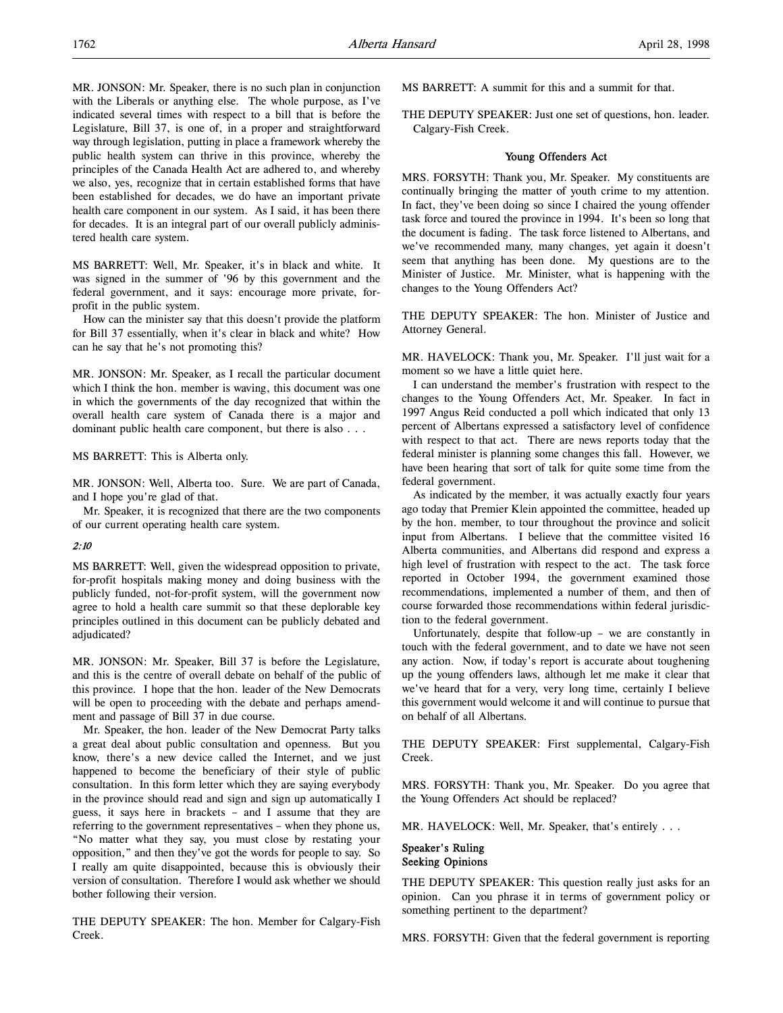MR. JONSON: Mr. Speaker, there is no such plan in conjunction with the Liberals or anything else. The whole purpose, as I've indicated several times with respect to a bill that is before the Legislature, Bill 37, is one of, in a proper and straightforward way through legislation, putting in place a framework whereby the public health system can thrive in this province, whereby the principles of the Canada Health Act are adhered to, and whereby we also, yes, recognize that in certain established forms that have been established for decades, we do have an important private health care component in our system. As I said, it has been there for decades. It is an integral part of our overall publicly administered health care system.

MS BARRETT: Well, Mr. Speaker, it's in black and white. It was signed in the summer of '96 by this government and the federal government, and it says: encourage more private, forprofit in the public system.

How can the minister say that this doesn't provide the platform for Bill 37 essentially, when it's clear in black and white? How can he say that he's not promoting this?

MR. JONSON: Mr. Speaker, as I recall the particular document which I think the hon. member is waving, this document was one in which the governments of the day recognized that within the overall health care system of Canada there is a major and dominant public health care component, but there is also . . .

MS BARRETT: This is Alberta only.

MR. JONSON: Well, Alberta too. Sure. We are part of Canada, and I hope you're glad of that.

Mr. Speaker, it is recognized that there are the two components of our current operating health care system.

### 2:10

MS BARRETT: Well, given the widespread opposition to private, for-profit hospitals making money and doing business with the publicly funded, not-for-profit system, will the government now agree to hold a health care summit so that these deplorable key principles outlined in this document can be publicly debated and adjudicated?

MR. JONSON: Mr. Speaker, Bill 37 is before the Legislature, and this is the centre of overall debate on behalf of the public of this province. I hope that the hon. leader of the New Democrats will be open to proceeding with the debate and perhaps amendment and passage of Bill 37 in due course.

Mr. Speaker, the hon. leader of the New Democrat Party talks a great deal about public consultation and openness. But you know, there's a new device called the Internet, and we just happened to become the beneficiary of their style of public consultation. In this form letter which they are saying everybody in the province should read and sign and sign up automatically I guess, it says here in brackets – and I assume that they are referring to the government representatives – when they phone us, "No matter what they say, you must close by restating your opposition," and then they've got the words for people to say. So I really am quite disappointed, because this is obviously their version of consultation. Therefore I would ask whether we should bother following their version.

THE DEPUTY SPEAKER: The hon. Member for Calgary-Fish Creek.

MS BARRETT: A summit for this and a summit for that.

THE DEPUTY SPEAKER: Just one set of questions, hon. leader. Calgary-Fish Creek.

## Young Offenders Act

MRS. FORSYTH: Thank you, Mr. Speaker. My constituents are continually bringing the matter of youth crime to my attention. In fact, they've been doing so since I chaired the young offender task force and toured the province in 1994. It's been so long that the document is fading. The task force listened to Albertans, and we've recommended many, many changes, yet again it doesn't seem that anything has been done. My questions are to the Minister of Justice. Mr. Minister, what is happening with the changes to the Young Offenders Act?

THE DEPUTY SPEAKER: The hon. Minister of Justice and Attorney General.

MR. HAVELOCK: Thank you, Mr. Speaker. I'll just wait for a moment so we have a little quiet here.

I can understand the member's frustration with respect to the changes to the Young Offenders Act, Mr. Speaker. In fact in 1997 Angus Reid conducted a poll which indicated that only 13 percent of Albertans expressed a satisfactory level of confidence with respect to that act. There are news reports today that the federal minister is planning some changes this fall. However, we have been hearing that sort of talk for quite some time from the federal government.

As indicated by the member, it was actually exactly four years ago today that Premier Klein appointed the committee, headed up by the hon. member, to tour throughout the province and solicit input from Albertans. I believe that the committee visited 16 Alberta communities, and Albertans did respond and express a high level of frustration with respect to the act. The task force reported in October 1994, the government examined those recommendations, implemented a number of them, and then of course forwarded those recommendations within federal jurisdiction to the federal government.

Unfortunately, despite that follow-up – we are constantly in touch with the federal government, and to date we have not seen any action. Now, if today's report is accurate about toughening up the young offenders laws, although let me make it clear that we've heard that for a very, very long time, certainly I believe this government would welcome it and will continue to pursue that on behalf of all Albertans.

THE DEPUTY SPEAKER: First supplemental, Calgary-Fish Creek.

MRS. FORSYTH: Thank you, Mr. Speaker. Do you agree that the Young Offenders Act should be replaced?

MR. HAVELOCK: Well, Mr. Speaker, that's entirely . . .

## Speaker's Ruling Seeking Opinions

THE DEPUTY SPEAKER: This question really just asks for an opinion. Can you phrase it in terms of government policy or something pertinent to the department?

MRS. FORSYTH: Given that the federal government is reporting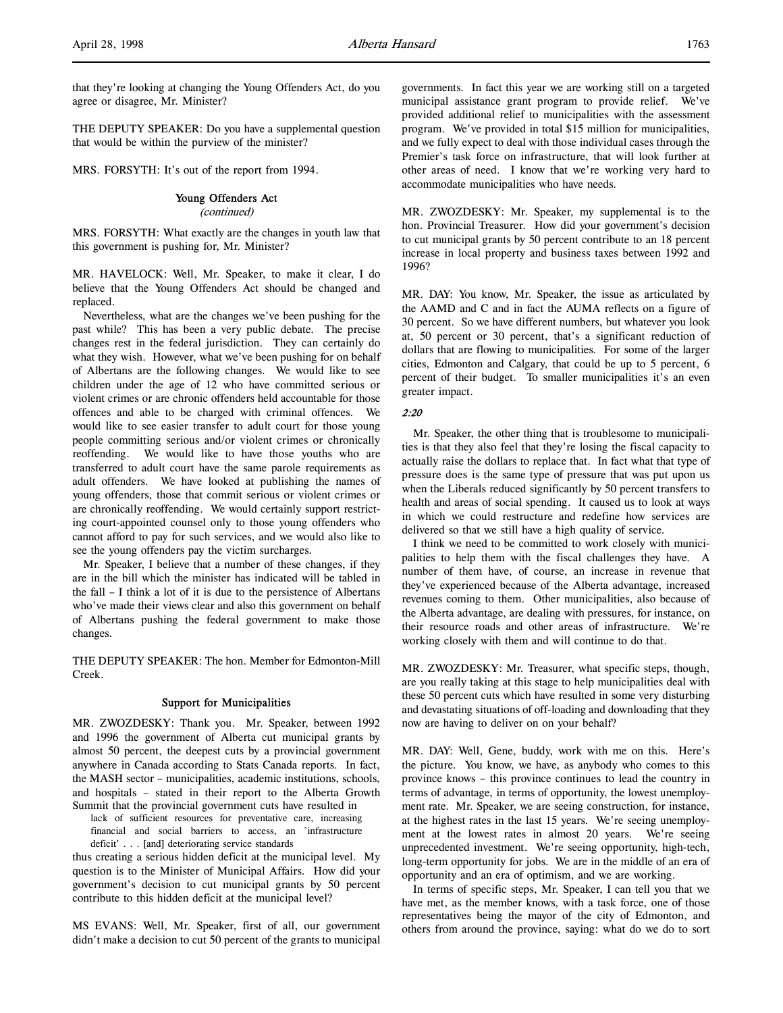that they're looking at changing the Young Offenders Act, do you agree or disagree, Mr. Minister?

THE DEPUTY SPEAKER: Do you have a supplemental question that would be within the purview of the minister?

MRS. FORSYTH: It's out of the report from 1994.

### Young Offenders Act

(continued)

MRS. FORSYTH: What exactly are the changes in youth law that this government is pushing for, Mr. Minister?

MR. HAVELOCK: Well, Mr. Speaker, to make it clear, I do believe that the Young Offenders Act should be changed and replaced.

Nevertheless, what are the changes we've been pushing for the past while? This has been a very public debate. The precise changes rest in the federal jurisdiction. They can certainly do what they wish. However, what we've been pushing for on behalf of Albertans are the following changes. We would like to see children under the age of 12 who have committed serious or violent crimes or are chronic offenders held accountable for those offences and able to be charged with criminal offences. We would like to see easier transfer to adult court for those young people committing serious and/or violent crimes or chronically reoffending. We would like to have those youths who are transferred to adult court have the same parole requirements as adult offenders. We have looked at publishing the names of young offenders, those that commit serious or violent crimes or are chronically reoffending. We would certainly support restricting court-appointed counsel only to those young offenders who cannot afford to pay for such services, and we would also like to see the young offenders pay the victim surcharges.

Mr. Speaker, I believe that a number of these changes, if they are in the bill which the minister has indicated will be tabled in the fall – I think a lot of it is due to the persistence of Albertans who've made their views clear and also this government on behalf of Albertans pushing the federal government to make those changes.

THE DEPUTY SPEAKER: The hon. Member for Edmonton-Mill Creek.

### Support for Municipalities

MR. ZWOZDESKY: Thank you. Mr. Speaker, between 1992 and 1996 the government of Alberta cut municipal grants by almost 50 percent, the deepest cuts by a provincial government anywhere in Canada according to Stats Canada reports. In fact, the MASH sector – municipalities, academic institutions, schools, and hospitals – stated in their report to the Alberta Growth Summit that the provincial government cuts have resulted in

lack of sufficient resources for preventative care, increasing financial and social barriers to access, an `infrastructure deficit' . . . [and] deteriorating service standards

thus creating a serious hidden deficit at the municipal level. My question is to the Minister of Municipal Affairs. How did your government's decision to cut municipal grants by 50 percent contribute to this hidden deficit at the municipal level?

MS EVANS: Well, Mr. Speaker, first of all, our government didn't make a decision to cut 50 percent of the grants to municipal

governments. In fact this year we are working still on a targeted municipal assistance grant program to provide relief. We've provided additional relief to municipalities with the assessment program. We've provided in total \$15 million for municipalities, and we fully expect to deal with those individual cases through the Premier's task force on infrastructure, that will look further at other areas of need. I know that we're working very hard to accommodate municipalities who have needs.

MR. ZWOZDESKY: Mr. Speaker, my supplemental is to the hon. Provincial Treasurer. How did your government's decision to cut municipal grants by 50 percent contribute to an 18 percent increase in local property and business taxes between 1992 and 1996?

MR. DAY: You know, Mr. Speaker, the issue as articulated by the AAMD and C and in fact the AUMA reflects on a figure of 30 percent. So we have different numbers, but whatever you look at, 50 percent or 30 percent, that's a significant reduction of dollars that are flowing to municipalities. For some of the larger cities, Edmonton and Calgary, that could be up to 5 percent, 6 percent of their budget. To smaller municipalities it's an even greater impact.

### 2:20

Mr. Speaker, the other thing that is troublesome to municipalities is that they also feel that they're losing the fiscal capacity to actually raise the dollars to replace that. In fact what that type of pressure does is the same type of pressure that was put upon us when the Liberals reduced significantly by 50 percent transfers to health and areas of social spending. It caused us to look at ways in which we could restructure and redefine how services are delivered so that we still have a high quality of service.

I think we need to be committed to work closely with municipalities to help them with the fiscal challenges they have. A number of them have, of course, an increase in revenue that they've experienced because of the Alberta advantage, increased revenues coming to them. Other municipalities, also because of the Alberta advantage, are dealing with pressures, for instance, on their resource roads and other areas of infrastructure. We're working closely with them and will continue to do that.

MR. ZWOZDESKY: Mr. Treasurer, what specific steps, though, are you really taking at this stage to help municipalities deal with these 50 percent cuts which have resulted in some very disturbing and devastating situations of off-loading and downloading that they now are having to deliver on on your behalf?

MR. DAY: Well, Gene, buddy, work with me on this. Here's the picture. You know, we have, as anybody who comes to this province knows – this province continues to lead the country in terms of advantage, in terms of opportunity, the lowest unemployment rate. Mr. Speaker, we are seeing construction, for instance, at the highest rates in the last 15 years. We're seeing unemployment at the lowest rates in almost 20 years. We're seeing unprecedented investment. We're seeing opportunity, high-tech, long-term opportunity for jobs. We are in the middle of an era of opportunity and an era of optimism, and we are working.

In terms of specific steps, Mr. Speaker, I can tell you that we have met, as the member knows, with a task force, one of those representatives being the mayor of the city of Edmonton, and others from around the province, saying: what do we do to sort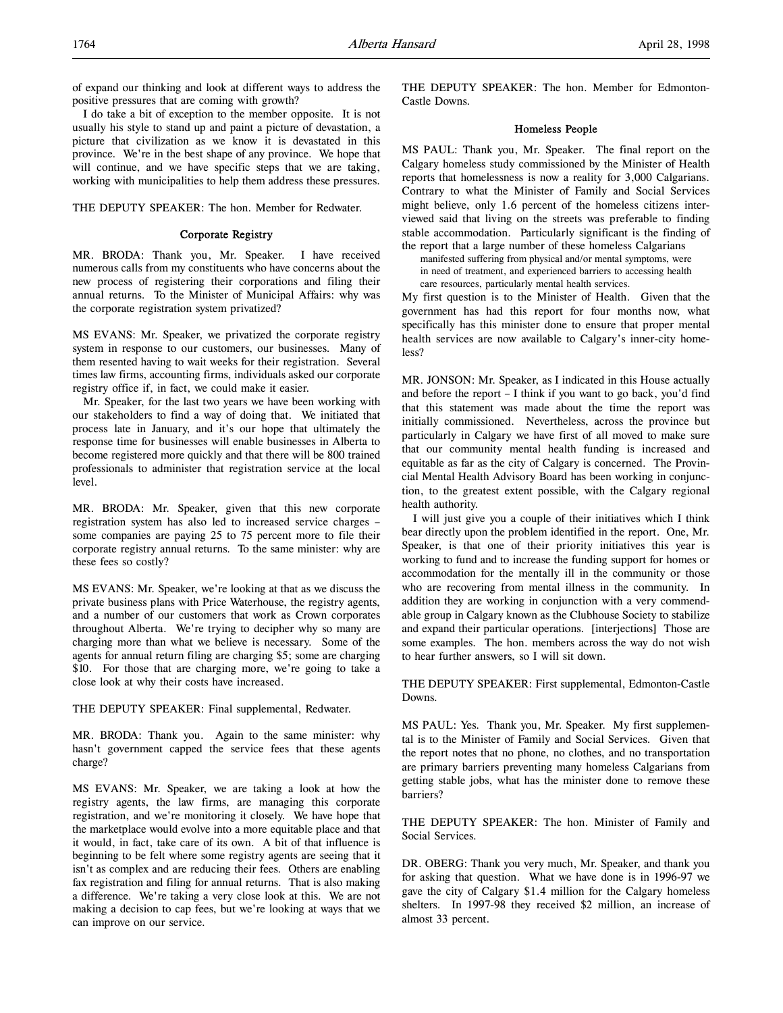of expand our thinking and look at different ways to address the positive pressures that are coming with growth?

I do take a bit of exception to the member opposite. It is not usually his style to stand up and paint a picture of devastation, a picture that civilization as we know it is devastated in this province. We're in the best shape of any province. We hope that will continue, and we have specific steps that we are taking, working with municipalities to help them address these pressures.

### THE DEPUTY SPEAKER: The hon. Member for Redwater.

## Corporate Registry

MR. BRODA: Thank you, Mr. Speaker. I have received numerous calls from my constituents who have concerns about the new process of registering their corporations and filing their annual returns. To the Minister of Municipal Affairs: why was the corporate registration system privatized?

MS EVANS: Mr. Speaker, we privatized the corporate registry system in response to our customers, our businesses. Many of them resented having to wait weeks for their registration. Several times law firms, accounting firms, individuals asked our corporate registry office if, in fact, we could make it easier.

Mr. Speaker, for the last two years we have been working with our stakeholders to find a way of doing that. We initiated that process late in January, and it's our hope that ultimately the response time for businesses will enable businesses in Alberta to become registered more quickly and that there will be 800 trained professionals to administer that registration service at the local level.

MR. BRODA: Mr. Speaker, given that this new corporate registration system has also led to increased service charges – some companies are paying 25 to 75 percent more to file their corporate registry annual returns. To the same minister: why are these fees so costly?

MS EVANS: Mr. Speaker, we're looking at that as we discuss the private business plans with Price Waterhouse, the registry agents, and a number of our customers that work as Crown corporates throughout Alberta. We're trying to decipher why so many are charging more than what we believe is necessary. Some of the agents for annual return filing are charging \$5; some are charging \$10. For those that are charging more, we're going to take a close look at why their costs have increased.

THE DEPUTY SPEAKER: Final supplemental, Redwater.

MR. BRODA: Thank you. Again to the same minister: why hasn't government capped the service fees that these agents charge?

MS EVANS: Mr. Speaker, we are taking a look at how the registry agents, the law firms, are managing this corporate registration, and we're monitoring it closely. We have hope that the marketplace would evolve into a more equitable place and that it would, in fact, take care of its own. A bit of that influence is beginning to be felt where some registry agents are seeing that it isn't as complex and are reducing their fees. Others are enabling fax registration and filing for annual returns. That is also making a difference. We're taking a very close look at this. We are not making a decision to cap fees, but we're looking at ways that we can improve on our service.

THE DEPUTY SPEAKER: The hon. Member for Edmonton-Castle Downs.

### Homeless People

MS PAUL: Thank you, Mr. Speaker. The final report on the Calgary homeless study commissioned by the Minister of Health reports that homelessness is now a reality for 3,000 Calgarians. Contrary to what the Minister of Family and Social Services might believe, only 1.6 percent of the homeless citizens interviewed said that living on the streets was preferable to finding stable accommodation. Particularly significant is the finding of the report that a large number of these homeless Calgarians

manifested suffering from physical and/or mental symptoms, were in need of treatment, and experienced barriers to accessing health care resources, particularly mental health services.

My first question is to the Minister of Health. Given that the government has had this report for four months now, what specifically has this minister done to ensure that proper mental health services are now available to Calgary's inner-city homeless?

MR. JONSON: Mr. Speaker, as I indicated in this House actually and before the report – I think if you want to go back, you'd find that this statement was made about the time the report was initially commissioned. Nevertheless, across the province but particularly in Calgary we have first of all moved to make sure that our community mental health funding is increased and equitable as far as the city of Calgary is concerned. The Provincial Mental Health Advisory Board has been working in conjunction, to the greatest extent possible, with the Calgary regional health authority.

I will just give you a couple of their initiatives which I think bear directly upon the problem identified in the report. One, Mr. Speaker, is that one of their priority initiatives this year is working to fund and to increase the funding support for homes or accommodation for the mentally ill in the community or those who are recovering from mental illness in the community. In addition they are working in conjunction with a very commendable group in Calgary known as the Clubhouse Society to stabilize and expand their particular operations. [interjections] Those are some examples. The hon. members across the way do not wish to hear further answers, so I will sit down.

THE DEPUTY SPEAKER: First supplemental, Edmonton-Castle Downs.

MS PAUL: Yes. Thank you, Mr. Speaker. My first supplemental is to the Minister of Family and Social Services. Given that the report notes that no phone, no clothes, and no transportation are primary barriers preventing many homeless Calgarians from getting stable jobs, what has the minister done to remove these barriers?

THE DEPUTY SPEAKER: The hon. Minister of Family and Social Services.

DR. OBERG: Thank you very much, Mr. Speaker, and thank you for asking that question. What we have done is in 1996-97 we gave the city of Calgary \$1.4 million for the Calgary homeless shelters. In 1997-98 they received \$2 million, an increase of almost 33 percent.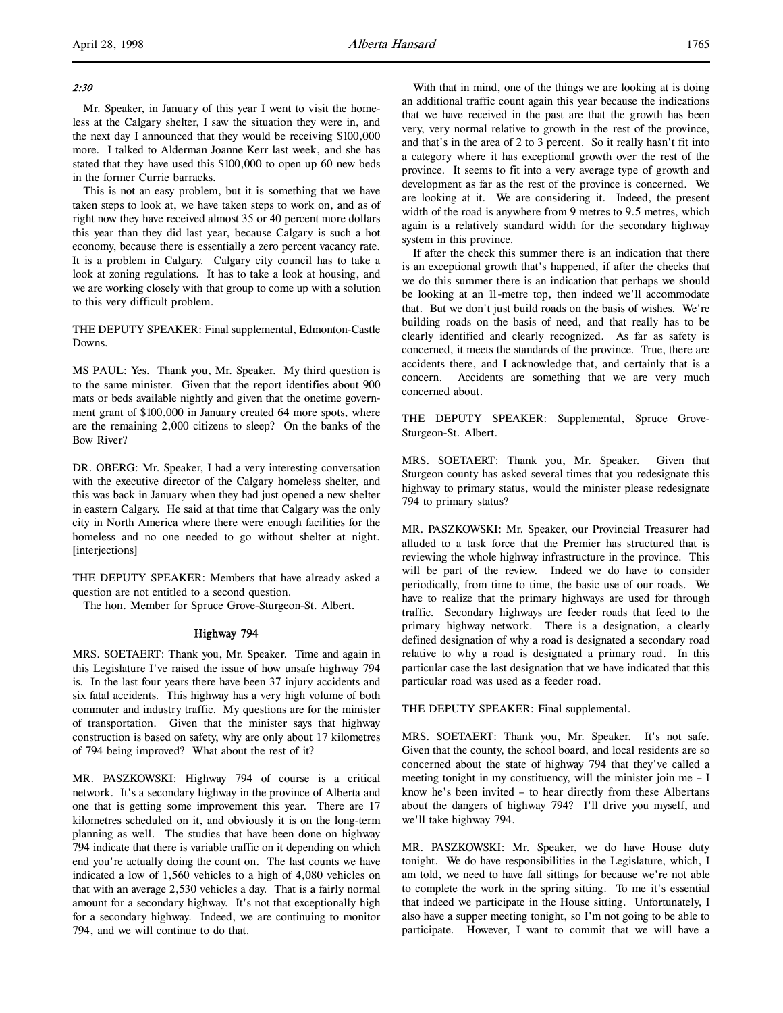## 2:30

Mr. Speaker, in January of this year I went to visit the homeless at the Calgary shelter, I saw the situation they were in, and the next day I announced that they would be receiving \$100,000 more. I talked to Alderman Joanne Kerr last week, and she has stated that they have used this \$100,000 to open up 60 new beds in the former Currie barracks.

This is not an easy problem, but it is something that we have taken steps to look at, we have taken steps to work on, and as of right now they have received almost 35 or 40 percent more dollars this year than they did last year, because Calgary is such a hot economy, because there is essentially a zero percent vacancy rate. It is a problem in Calgary. Calgary city council has to take a look at zoning regulations. It has to take a look at housing, and we are working closely with that group to come up with a solution to this very difficult problem.

THE DEPUTY SPEAKER: Final supplemental, Edmonton-Castle Downs.

MS PAUL: Yes. Thank you, Mr. Speaker. My third question is to the same minister. Given that the report identifies about 900 mats or beds available nightly and given that the onetime government grant of \$100,000 in January created 64 more spots, where are the remaining 2,000 citizens to sleep? On the banks of the Bow River?

DR. OBERG: Mr. Speaker, I had a very interesting conversation with the executive director of the Calgary homeless shelter, and this was back in January when they had just opened a new shelter in eastern Calgary. He said at that time that Calgary was the only city in North America where there were enough facilities for the homeless and no one needed to go without shelter at night. [interjections]

THE DEPUTY SPEAKER: Members that have already asked a question are not entitled to a second question.

The hon. Member for Spruce Grove-Sturgeon-St. Albert.

## Highway 794

MRS. SOETAERT: Thank you, Mr. Speaker. Time and again in this Legislature I've raised the issue of how unsafe highway 794 is. In the last four years there have been 37 injury accidents and six fatal accidents. This highway has a very high volume of both commuter and industry traffic. My questions are for the minister of transportation. Given that the minister says that highway construction is based on safety, why are only about 17 kilometres of 794 being improved? What about the rest of it?

MR. PASZKOWSKI: Highway 794 of course is a critical network. It's a secondary highway in the province of Alberta and one that is getting some improvement this year. There are 17 kilometres scheduled on it, and obviously it is on the long-term planning as well. The studies that have been done on highway 794 indicate that there is variable traffic on it depending on which end you're actually doing the count on. The last counts we have indicated a low of 1,560 vehicles to a high of 4,080 vehicles on that with an average 2,530 vehicles a day. That is a fairly normal amount for a secondary highway. It's not that exceptionally high for a secondary highway. Indeed, we are continuing to monitor 794, and we will continue to do that.

With that in mind, one of the things we are looking at is doing an additional traffic count again this year because the indications that we have received in the past are that the growth has been very, very normal relative to growth in the rest of the province, and that's in the area of 2 to 3 percent. So it really hasn't fit into a category where it has exceptional growth over the rest of the province. It seems to fit into a very average type of growth and development as far as the rest of the province is concerned. We are looking at it. We are considering it. Indeed, the present width of the road is anywhere from 9 metres to 9.5 metres, which again is a relatively standard width for the secondary highway system in this province.

If after the check this summer there is an indication that there is an exceptional growth that's happened, if after the checks that we do this summer there is an indication that perhaps we should be looking at an 11-metre top, then indeed we'll accommodate that. But we don't just build roads on the basis of wishes. We're building roads on the basis of need, and that really has to be clearly identified and clearly recognized. As far as safety is concerned, it meets the standards of the province. True, there are accidents there, and I acknowledge that, and certainly that is a concern. Accidents are something that we are very much concerned about.

THE DEPUTY SPEAKER: Supplemental, Spruce Grove-Sturgeon-St. Albert.

MRS. SOETAERT: Thank you, Mr. Speaker. Given that Sturgeon county has asked several times that you redesignate this highway to primary status, would the minister please redesignate 794 to primary status?

MR. PASZKOWSKI: Mr. Speaker, our Provincial Treasurer had alluded to a task force that the Premier has structured that is reviewing the whole highway infrastructure in the province. This will be part of the review. Indeed we do have to consider periodically, from time to time, the basic use of our roads. We have to realize that the primary highways are used for through traffic. Secondary highways are feeder roads that feed to the primary highway network. There is a designation, a clearly defined designation of why a road is designated a secondary road relative to why a road is designated a primary road. In this particular case the last designation that we have indicated that this particular road was used as a feeder road.

THE DEPUTY SPEAKER: Final supplemental.

MRS. SOETAERT: Thank you, Mr. Speaker. It's not safe. Given that the county, the school board, and local residents are so concerned about the state of highway 794 that they've called a meeting tonight in my constituency, will the minister join me  $-1$ know he's been invited – to hear directly from these Albertans about the dangers of highway 794? I'll drive you myself, and we'll take highway 794.

MR. PASZKOWSKI: Mr. Speaker, we do have House duty tonight. We do have responsibilities in the Legislature, which, I am told, we need to have fall sittings for because we're not able to complete the work in the spring sitting. To me it's essential that indeed we participate in the House sitting. Unfortunately, I also have a supper meeting tonight, so I'm not going to be able to participate. However, I want to commit that we will have a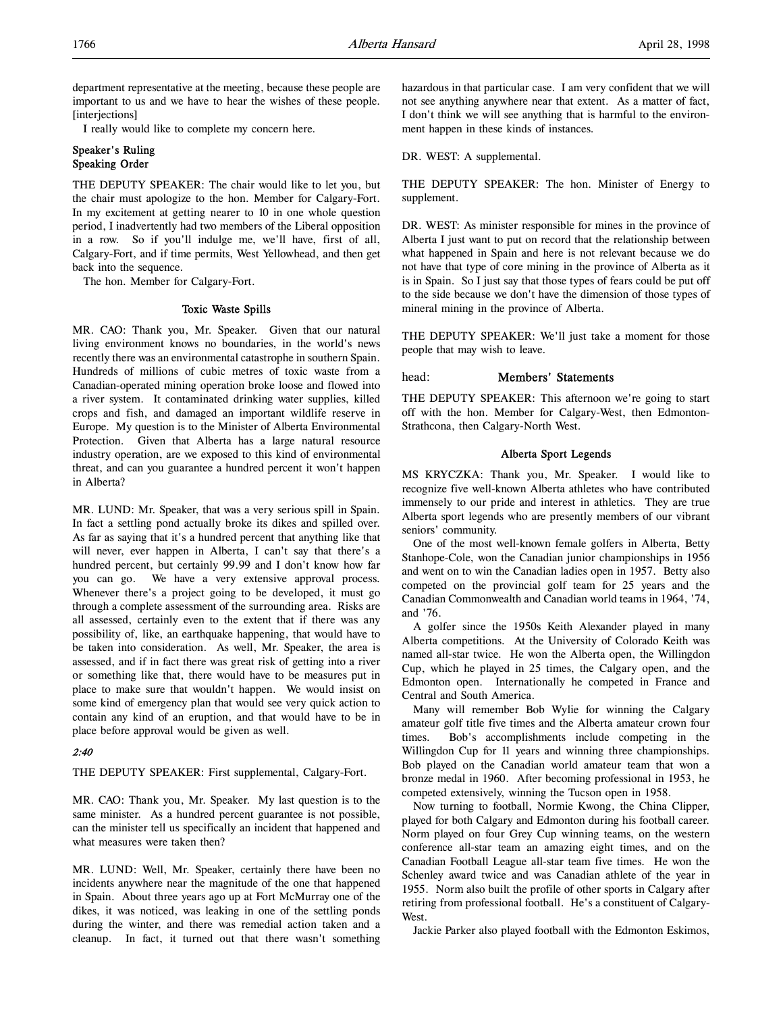department representative at the meeting, because these people are important to us and we have to hear the wishes of these people. [interjections]

I really would like to complete my concern here.

## Speaker's Ruling Speaking Order

THE DEPUTY SPEAKER: The chair would like to let you, but the chair must apologize to the hon. Member for Calgary-Fort. In my excitement at getting nearer to 10 in one whole question period, I inadvertently had two members of the Liberal opposition in a row. So if you'll indulge me, we'll have, first of all, Calgary-Fort, and if time permits, West Yellowhead, and then get back into the sequence.

The hon. Member for Calgary-Fort.

## Toxic Waste Spills

MR. CAO: Thank you, Mr. Speaker. Given that our natural living environment knows no boundaries, in the world's news recently there was an environmental catastrophe in southern Spain. Hundreds of millions of cubic metres of toxic waste from a Canadian-operated mining operation broke loose and flowed into a river system. It contaminated drinking water supplies, killed crops and fish, and damaged an important wildlife reserve in Europe. My question is to the Minister of Alberta Environmental Protection. Given that Alberta has a large natural resource industry operation, are we exposed to this kind of environmental threat, and can you guarantee a hundred percent it won't happen in Alberta?

MR. LUND: Mr. Speaker, that was a very serious spill in Spain. In fact a settling pond actually broke its dikes and spilled over. As far as saying that it's a hundred percent that anything like that will never, ever happen in Alberta, I can't say that there's a hundred percent, but certainly 99.99 and I don't know how far you can go. We have a very extensive approval process. Whenever there's a project going to be developed, it must go through a complete assessment of the surrounding area. Risks are all assessed, certainly even to the extent that if there was any possibility of, like, an earthquake happening, that would have to be taken into consideration. As well, Mr. Speaker, the area is assessed, and if in fact there was great risk of getting into a river or something like that, there would have to be measures put in place to make sure that wouldn't happen. We would insist on some kind of emergency plan that would see very quick action to contain any kind of an eruption, and that would have to be in place before approval would be given as well.

## 2:40

THE DEPUTY SPEAKER: First supplemental, Calgary-Fort.

MR. CAO: Thank you, Mr. Speaker. My last question is to the same minister. As a hundred percent guarantee is not possible, can the minister tell us specifically an incident that happened and what measures were taken then?

MR. LUND: Well, Mr. Speaker, certainly there have been no incidents anywhere near the magnitude of the one that happened in Spain. About three years ago up at Fort McMurray one of the dikes, it was noticed, was leaking in one of the settling ponds during the winter, and there was remedial action taken and a cleanup. In fact, it turned out that there wasn't something

hazardous in that particular case. I am very confident that we will not see anything anywhere near that extent. As a matter of fact, I don't think we will see anything that is harmful to the environment happen in these kinds of instances.

DR. WEST: A supplemental.

THE DEPUTY SPEAKER: The hon. Minister of Energy to supplement.

DR. WEST: As minister responsible for mines in the province of Alberta I just want to put on record that the relationship between what happened in Spain and here is not relevant because we do not have that type of core mining in the province of Alberta as it is in Spain. So I just say that those types of fears could be put off to the side because we don't have the dimension of those types of mineral mining in the province of Alberta.

THE DEPUTY SPEAKER: We'll just take a moment for those people that may wish to leave.

## head: Members' Statements

THE DEPUTY SPEAKER: This afternoon we're going to start off with the hon. Member for Calgary-West, then Edmonton-Strathcona, then Calgary-North West.

## Alberta Sport Legends

MS KRYCZKA: Thank you, Mr. Speaker. I would like to recognize five well-known Alberta athletes who have contributed immensely to our pride and interest in athletics. They are true Alberta sport legends who are presently members of our vibrant seniors' community.

One of the most well-known female golfers in Alberta, Betty Stanhope-Cole, won the Canadian junior championships in 1956 and went on to win the Canadian ladies open in 1957. Betty also competed on the provincial golf team for 25 years and the Canadian Commonwealth and Canadian world teams in 1964, '74, and '76.

A golfer since the 1950s Keith Alexander played in many Alberta competitions. At the University of Colorado Keith was named all-star twice. He won the Alberta open, the Willingdon Cup, which he played in 25 times, the Calgary open, and the Edmonton open. Internationally he competed in France and Central and South America.

Many will remember Bob Wylie for winning the Calgary amateur golf title five times and the Alberta amateur crown four times. Bob's accomplishments include competing in the Willingdon Cup for 11 years and winning three championships. Bob played on the Canadian world amateur team that won a bronze medal in 1960. After becoming professional in 1953, he competed extensively, winning the Tucson open in 1958.

Now turning to football, Normie Kwong, the China Clipper, played for both Calgary and Edmonton during his football career. Norm played on four Grey Cup winning teams, on the western conference all-star team an amazing eight times, and on the Canadian Football League all-star team five times. He won the Schenley award twice and was Canadian athlete of the year in 1955. Norm also built the profile of other sports in Calgary after retiring from professional football. He's a constituent of Calgary-West.

Jackie Parker also played football with the Edmonton Eskimos,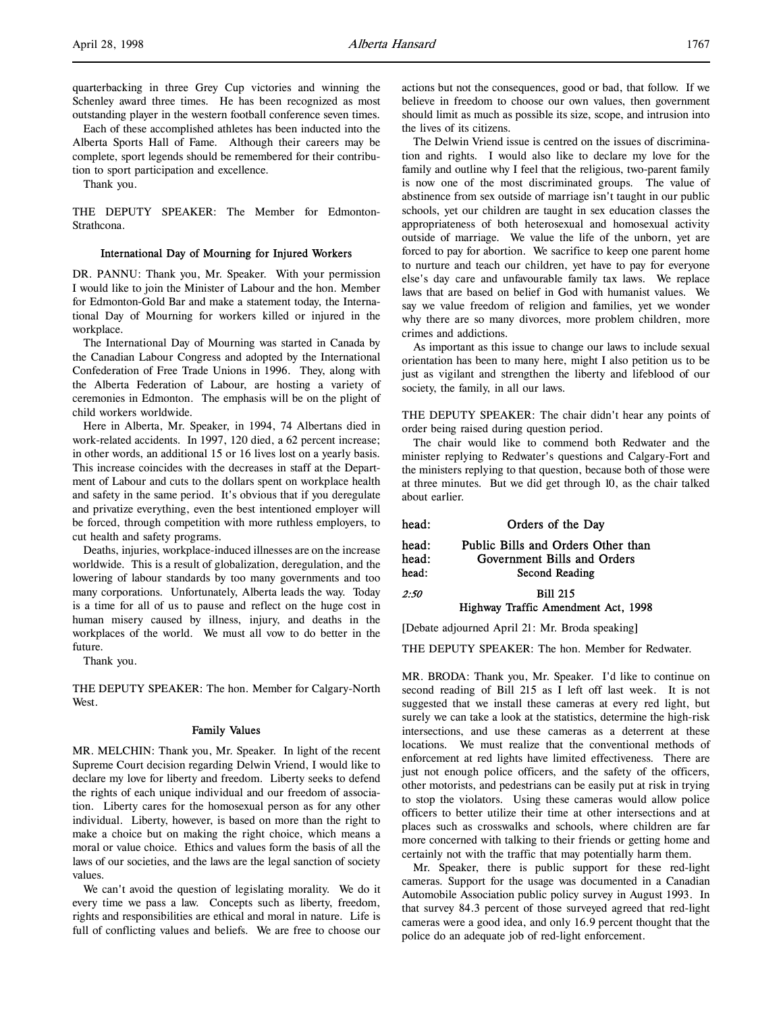quarterbacking in three Grey Cup victories and winning the Schenley award three times. He has been recognized as most outstanding player in the western football conference seven times.

Each of these accomplished athletes has been inducted into the Alberta Sports Hall of Fame. Although their careers may be complete, sport legends should be remembered for their contribution to sport participation and excellence.

Thank you.

THE DEPUTY SPEAKER: The Member for Edmonton-Strathcona.

## International Day of Mourning for Injured Workers

DR. PANNU: Thank you, Mr. Speaker. With your permission I would like to join the Minister of Labour and the hon. Member for Edmonton-Gold Bar and make a statement today, the International Day of Mourning for workers killed or injured in the workplace.

The International Day of Mourning was started in Canada by the Canadian Labour Congress and adopted by the International Confederation of Free Trade Unions in 1996. They, along with the Alberta Federation of Labour, are hosting a variety of ceremonies in Edmonton. The emphasis will be on the plight of child workers worldwide.

Here in Alberta, Mr. Speaker, in 1994, 74 Albertans died in work-related accidents. In 1997, 120 died, a 62 percent increase; in other words, an additional 15 or 16 lives lost on a yearly basis. This increase coincides with the decreases in staff at the Department of Labour and cuts to the dollars spent on workplace health and safety in the same period. It's obvious that if you deregulate and privatize everything, even the best intentioned employer will be forced, through competition with more ruthless employers, to cut health and safety programs.

Deaths, injuries, workplace-induced illnesses are on the increase worldwide. This is a result of globalization, deregulation, and the lowering of labour standards by too many governments and too many corporations. Unfortunately, Alberta leads the way. Today is a time for all of us to pause and reflect on the huge cost in human misery caused by illness, injury, and deaths in the workplaces of the world. We must all vow to do better in the future.

Thank you.

THE DEPUTY SPEAKER: The hon. Member for Calgary-North West.

## Family Values

MR. MELCHIN: Thank you, Mr. Speaker. In light of the recent Supreme Court decision regarding Delwin Vriend, I would like to declare my love for liberty and freedom. Liberty seeks to defend the rights of each unique individual and our freedom of association. Liberty cares for the homosexual person as for any other individual. Liberty, however, is based on more than the right to make a choice but on making the right choice, which means a moral or value choice. Ethics and values form the basis of all the laws of our societies, and the laws are the legal sanction of society values.

We can't avoid the question of legislating morality. We do it every time we pass a law. Concepts such as liberty, freedom, rights and responsibilities are ethical and moral in nature. Life is full of conflicting values and beliefs. We are free to choose our

actions but not the consequences, good or bad, that follow. If we believe in freedom to choose our own values, then government should limit as much as possible its size, scope, and intrusion into the lives of its citizens.

The Delwin Vriend issue is centred on the issues of discrimination and rights. I would also like to declare my love for the family and outline why I feel that the religious, two-parent family is now one of the most discriminated groups. The value of abstinence from sex outside of marriage isn't taught in our public schools, yet our children are taught in sex education classes the appropriateness of both heterosexual and homosexual activity outside of marriage. We value the life of the unborn, yet are forced to pay for abortion. We sacrifice to keep one parent home to nurture and teach our children, yet have to pay for everyone else's day care and unfavourable family tax laws. We replace laws that are based on belief in God with humanist values. We say we value freedom of religion and families, yet we wonder why there are so many divorces, more problem children, more crimes and addictions.

As important as this issue to change our laws to include sexual orientation has been to many here, might I also petition us to be just as vigilant and strengthen the liberty and lifeblood of our society, the family, in all our laws.

THE DEPUTY SPEAKER: The chair didn't hear any points of order being raised during question period.

The chair would like to commend both Redwater and the minister replying to Redwater's questions and Calgary-Fort and the ministers replying to that question, because both of those were at three minutes. But we did get through 10, as the chair talked about earlier.

head: Orders of the Day

| head: | Public Bills and Orders Other than |
|-------|------------------------------------|
| head: | Government Bills and Orders        |
| head: | Second Reading                     |
| 2:50  | <b>Bill 215</b>                    |
|       |                                    |

## Highway Traffic Amendment Act, 1998

[Debate adjourned April 21: Mr. Broda speaking]

THE DEPUTY SPEAKER: The hon. Member for Redwater.

MR. BRODA: Thank you, Mr. Speaker. I'd like to continue on second reading of Bill 215 as I left off last week. It is not suggested that we install these cameras at every red light, but surely we can take a look at the statistics, determine the high-risk intersections, and use these cameras as a deterrent at these locations. We must realize that the conventional methods of enforcement at red lights have limited effectiveness. There are just not enough police officers, and the safety of the officers, other motorists, and pedestrians can be easily put at risk in trying to stop the violators. Using these cameras would allow police officers to better utilize their time at other intersections and at places such as crosswalks and schools, where children are far more concerned with talking to their friends or getting home and certainly not with the traffic that may potentially harm them.

Mr. Speaker, there is public support for these red-light cameras. Support for the usage was documented in a Canadian Automobile Association public policy survey in August 1993. In that survey 84.3 percent of those surveyed agreed that red-light cameras were a good idea, and only 16.9 percent thought that the police do an adequate job of red-light enforcement.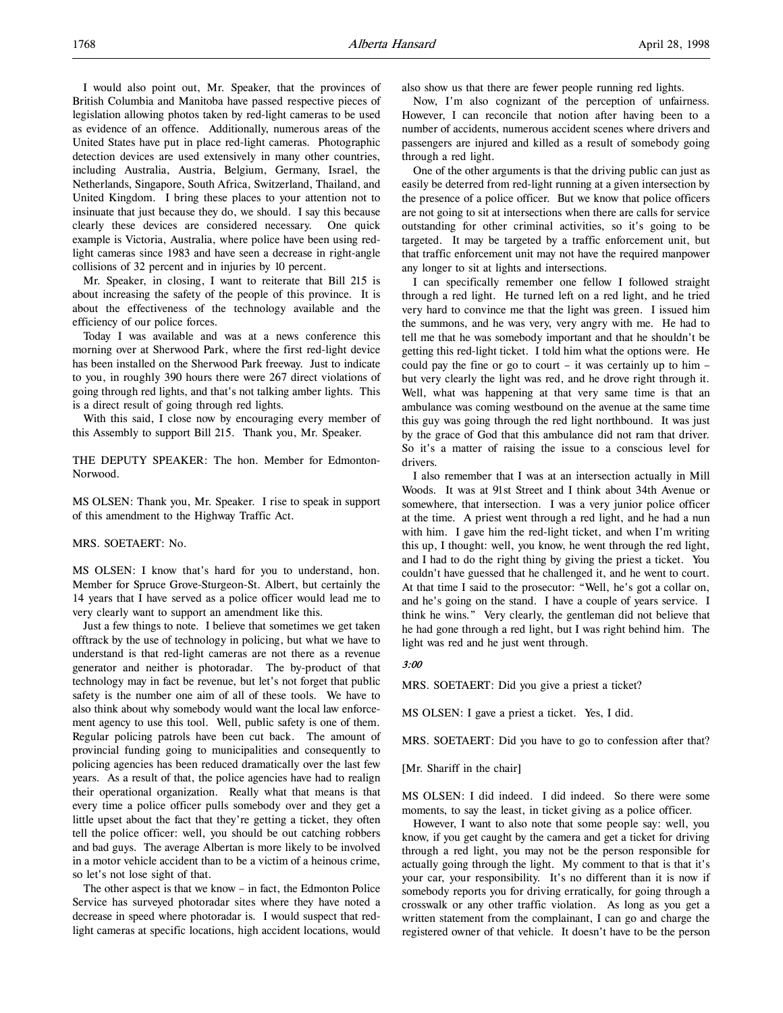I would also point out, Mr. Speaker, that the provinces of British Columbia and Manitoba have passed respective pieces of legislation allowing photos taken by red-light cameras to be used as evidence of an offence. Additionally, numerous areas of the United States have put in place red-light cameras. Photographic detection devices are used extensively in many other countries, including Australia, Austria, Belgium, Germany, Israel, the Netherlands, Singapore, South Africa, Switzerland, Thailand, and United Kingdom. I bring these places to your attention not to insinuate that just because they do, we should. I say this because clearly these devices are considered necessary. One quick example is Victoria, Australia, where police have been using redlight cameras since 1983 and have seen a decrease in right-angle collisions of 32 percent and in injuries by 10 percent.

Mr. Speaker, in closing, I want to reiterate that Bill 215 is about increasing the safety of the people of this province. It is about the effectiveness of the technology available and the efficiency of our police forces.

Today I was available and was at a news conference this morning over at Sherwood Park, where the first red-light device has been installed on the Sherwood Park freeway. Just to indicate to you, in roughly 390 hours there were 267 direct violations of going through red lights, and that's not talking amber lights. This is a direct result of going through red lights.

With this said, I close now by encouraging every member of this Assembly to support Bill 215. Thank you, Mr. Speaker.

THE DEPUTY SPEAKER: The hon. Member for Edmonton-Norwood.

MS OLSEN: Thank you, Mr. Speaker. I rise to speak in support of this amendment to the Highway Traffic Act.

### MRS. SOETAERT: No.

MS OLSEN: I know that's hard for you to understand, hon. Member for Spruce Grove-Sturgeon-St. Albert, but certainly the 14 years that I have served as a police officer would lead me to very clearly want to support an amendment like this.

Just a few things to note. I believe that sometimes we get taken offtrack by the use of technology in policing, but what we have to understand is that red-light cameras are not there as a revenue generator and neither is photoradar. The by-product of that technology may in fact be revenue, but let's not forget that public safety is the number one aim of all of these tools. We have to also think about why somebody would want the local law enforcement agency to use this tool. Well, public safety is one of them. Regular policing patrols have been cut back. The amount of provincial funding going to municipalities and consequently to policing agencies has been reduced dramatically over the last few years. As a result of that, the police agencies have had to realign their operational organization. Really what that means is that every time a police officer pulls somebody over and they get a little upset about the fact that they're getting a ticket, they often tell the police officer: well, you should be out catching robbers and bad guys. The average Albertan is more likely to be involved in a motor vehicle accident than to be a victim of a heinous crime, so let's not lose sight of that.

The other aspect is that we know – in fact, the Edmonton Police Service has surveyed photoradar sites where they have noted a decrease in speed where photoradar is. I would suspect that redlight cameras at specific locations, high accident locations, would also show us that there are fewer people running red lights.

Now, I'm also cognizant of the perception of unfairness. However, I can reconcile that notion after having been to a number of accidents, numerous accident scenes where drivers and passengers are injured and killed as a result of somebody going through a red light.

One of the other arguments is that the driving public can just as easily be deterred from red-light running at a given intersection by the presence of a police officer. But we know that police officers are not going to sit at intersections when there are calls for service outstanding for other criminal activities, so it's going to be targeted. It may be targeted by a traffic enforcement unit, but that traffic enforcement unit may not have the required manpower any longer to sit at lights and intersections.

I can specifically remember one fellow I followed straight through a red light. He turned left on a red light, and he tried very hard to convince me that the light was green. I issued him the summons, and he was very, very angry with me. He had to tell me that he was somebody important and that he shouldn't be getting this red-light ticket. I told him what the options were. He could pay the fine or go to court – it was certainly up to him – but very clearly the light was red, and he drove right through it. Well, what was happening at that very same time is that an ambulance was coming westbound on the avenue at the same time this guy was going through the red light northbound. It was just by the grace of God that this ambulance did not ram that driver. So it's a matter of raising the issue to a conscious level for drivers.

I also remember that I was at an intersection actually in Mill Woods. It was at 91st Street and I think about 34th Avenue or somewhere, that intersection. I was a very junior police officer at the time. A priest went through a red light, and he had a nun with him. I gave him the red-light ticket, and when I'm writing this up, I thought: well, you know, he went through the red light, and I had to do the right thing by giving the priest a ticket. You couldn't have guessed that he challenged it, and he went to court. At that time I said to the prosecutor: "Well, he's got a collar on, and he's going on the stand. I have a couple of years service. I think he wins." Very clearly, the gentleman did not believe that he had gone through a red light, but I was right behind him. The light was red and he just went through.

## 3:00

MRS. SOETAERT: Did you give a priest a ticket?

MS OLSEN: I gave a priest a ticket. Yes, I did.

MRS. SOETAERT: Did you have to go to confession after that?

[Mr. Shariff in the chair]

MS OLSEN: I did indeed. I did indeed. So there were some moments, to say the least, in ticket giving as a police officer.

However, I want to also note that some people say: well, you know, if you get caught by the camera and get a ticket for driving through a red light, you may not be the person responsible for actually going through the light. My comment to that is that it's your car, your responsibility. It's no different than it is now if somebody reports you for driving erratically, for going through a crosswalk or any other traffic violation. As long as you get a written statement from the complainant, I can go and charge the registered owner of that vehicle. It doesn't have to be the person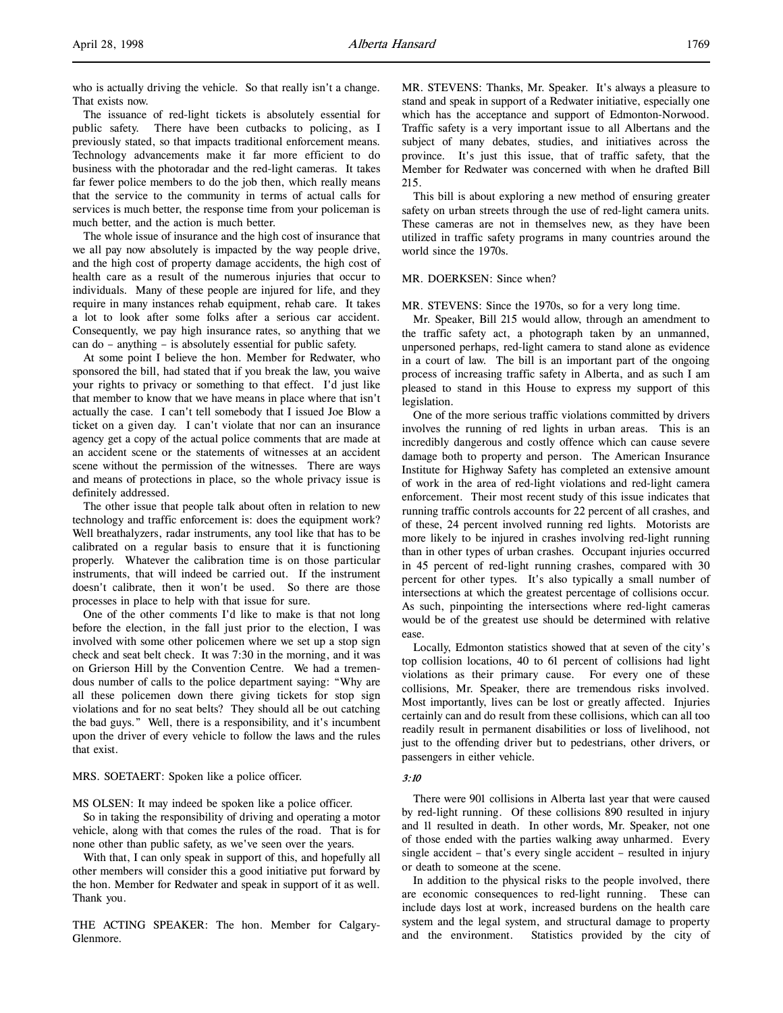who is actually driving the vehicle. So that really isn't a change. That exists now.

The issuance of red-light tickets is absolutely essential for public safety. There have been cutbacks to policing, as I previously stated, so that impacts traditional enforcement means. Technology advancements make it far more efficient to do business with the photoradar and the red-light cameras. It takes far fewer police members to do the job then, which really means that the service to the community in terms of actual calls for services is much better, the response time from your policeman is much better, and the action is much better.

The whole issue of insurance and the high cost of insurance that we all pay now absolutely is impacted by the way people drive, and the high cost of property damage accidents, the high cost of health care as a result of the numerous injuries that occur to individuals. Many of these people are injured for life, and they require in many instances rehab equipment, rehab care. It takes a lot to look after some folks after a serious car accident. Consequently, we pay high insurance rates, so anything that we can do – anything – is absolutely essential for public safety.

At some point I believe the hon. Member for Redwater, who sponsored the bill, had stated that if you break the law, you waive your rights to privacy or something to that effect. I'd just like that member to know that we have means in place where that isn't actually the case. I can't tell somebody that I issued Joe Blow a ticket on a given day. I can't violate that nor can an insurance agency get a copy of the actual police comments that are made at an accident scene or the statements of witnesses at an accident scene without the permission of the witnesses. There are ways and means of protections in place, so the whole privacy issue is definitely addressed.

The other issue that people talk about often in relation to new technology and traffic enforcement is: does the equipment work? Well breathalyzers, radar instruments, any tool like that has to be calibrated on a regular basis to ensure that it is functioning properly. Whatever the calibration time is on those particular instruments, that will indeed be carried out. If the instrument doesn't calibrate, then it won't be used. So there are those processes in place to help with that issue for sure.

One of the other comments I'd like to make is that not long before the election, in the fall just prior to the election, I was involved with some other policemen where we set up a stop sign check and seat belt check. It was 7:30 in the morning, and it was on Grierson Hill by the Convention Centre. We had a tremendous number of calls to the police department saying: "Why are all these policemen down there giving tickets for stop sign violations and for no seat belts? They should all be out catching the bad guys." Well, there is a responsibility, and it's incumbent upon the driver of every vehicle to follow the laws and the rules that exist.

MRS. SOETAERT: Spoken like a police officer.

MS OLSEN: It may indeed be spoken like a police officer.

So in taking the responsibility of driving and operating a motor vehicle, along with that comes the rules of the road. That is for none other than public safety, as we've seen over the years.

With that, I can only speak in support of this, and hopefully all other members will consider this a good initiative put forward by the hon. Member for Redwater and speak in support of it as well. Thank you.

THE ACTING SPEAKER: The hon. Member for Calgary-Glenmore.

MR. STEVENS: Thanks, Mr. Speaker. It's always a pleasure to stand and speak in support of a Redwater initiative, especially one which has the acceptance and support of Edmonton-Norwood. Traffic safety is a very important issue to all Albertans and the subject of many debates, studies, and initiatives across the province. It's just this issue, that of traffic safety, that the Member for Redwater was concerned with when he drafted Bill 215.

This bill is about exploring a new method of ensuring greater safety on urban streets through the use of red-light camera units. These cameras are not in themselves new, as they have been utilized in traffic safety programs in many countries around the world since the 1970s.

## MR. DOERKSEN: Since when?

MR. STEVENS: Since the 1970s, so for a very long time.

Mr. Speaker, Bill 215 would allow, through an amendment to the traffic safety act, a photograph taken by an unmanned, unpersoned perhaps, red-light camera to stand alone as evidence in a court of law. The bill is an important part of the ongoing process of increasing traffic safety in Alberta, and as such I am pleased to stand in this House to express my support of this legislation.

One of the more serious traffic violations committed by drivers involves the running of red lights in urban areas. This is an incredibly dangerous and costly offence which can cause severe damage both to property and person. The American Insurance Institute for Highway Safety has completed an extensive amount of work in the area of red-light violations and red-light camera enforcement. Their most recent study of this issue indicates that running traffic controls accounts for 22 percent of all crashes, and of these, 24 percent involved running red lights. Motorists are more likely to be injured in crashes involving red-light running than in other types of urban crashes. Occupant injuries occurred in 45 percent of red-light running crashes, compared with 30 percent for other types. It's also typically a small number of intersections at which the greatest percentage of collisions occur. As such, pinpointing the intersections where red-light cameras would be of the greatest use should be determined with relative ease.

Locally, Edmonton statistics showed that at seven of the city's top collision locations, 40 to 61 percent of collisions had light violations as their primary cause. For every one of these collisions, Mr. Speaker, there are tremendous risks involved. Most importantly, lives can be lost or greatly affected. Injuries certainly can and do result from these collisions, which can all too readily result in permanent disabilities or loss of livelihood, not just to the offending driver but to pedestrians, other drivers, or passengers in either vehicle.

#### 3:10

There were 901 collisions in Alberta last year that were caused by red-light running. Of these collisions 890 resulted in injury and 11 resulted in death. In other words, Mr. Speaker, not one of those ended with the parties walking away unharmed. Every single accident – that's every single accident – resulted in injury or death to someone at the scene.

In addition to the physical risks to the people involved, there are economic consequences to red-light running. These can include days lost at work, increased burdens on the health care system and the legal system, and structural damage to property and the environment. Statistics provided by the city of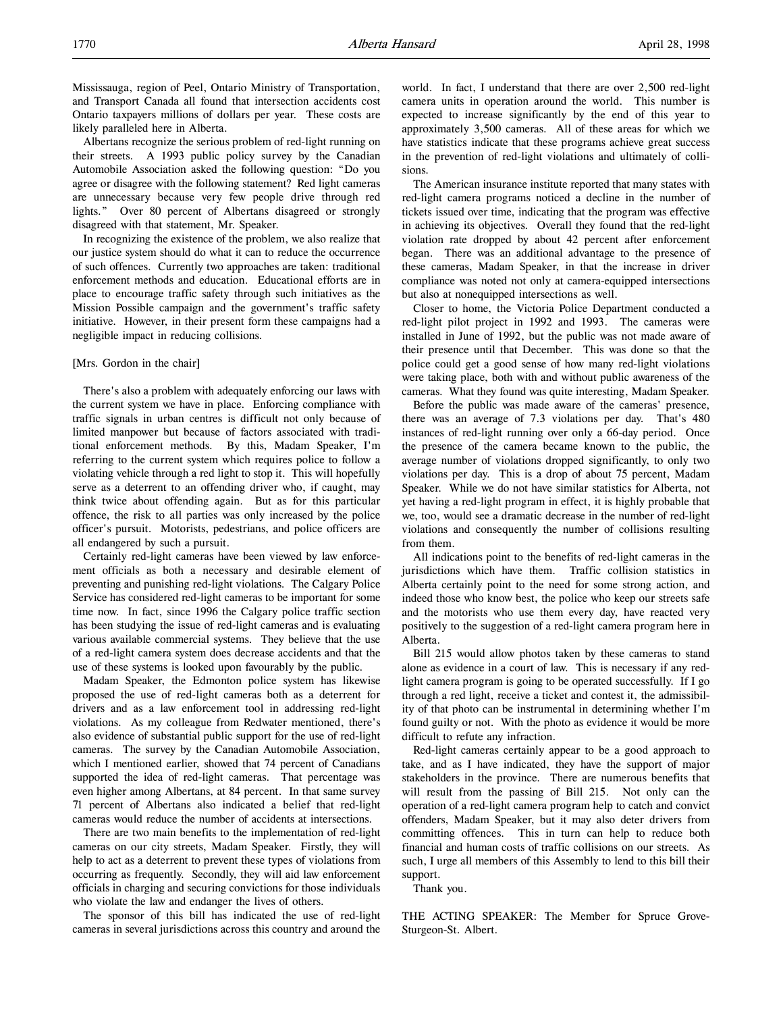Mississauga, region of Peel, Ontario Ministry of Transportation, and Transport Canada all found that intersection accidents cost Ontario taxpayers millions of dollars per year. These costs are likely paralleled here in Alberta.

Albertans recognize the serious problem of red-light running on their streets. A 1993 public policy survey by the Canadian Automobile Association asked the following question: "Do you agree or disagree with the following statement? Red light cameras are unnecessary because very few people drive through red lights." Over 80 percent of Albertans disagreed or strongly disagreed with that statement, Mr. Speaker.

In recognizing the existence of the problem, we also realize that our justice system should do what it can to reduce the occurrence of such offences. Currently two approaches are taken: traditional enforcement methods and education. Educational efforts are in place to encourage traffic safety through such initiatives as the Mission Possible campaign and the government's traffic safety initiative. However, in their present form these campaigns had a negligible impact in reducing collisions.

## [Mrs. Gordon in the chair]

There's also a problem with adequately enforcing our laws with the current system we have in place. Enforcing compliance with traffic signals in urban centres is difficult not only because of limited manpower but because of factors associated with traditional enforcement methods. By this, Madam Speaker, I'm referring to the current system which requires police to follow a violating vehicle through a red light to stop it. This will hopefully serve as a deterrent to an offending driver who, if caught, may think twice about offending again. But as for this particular offence, the risk to all parties was only increased by the police officer's pursuit. Motorists, pedestrians, and police officers are all endangered by such a pursuit.

Certainly red-light cameras have been viewed by law enforcement officials as both a necessary and desirable element of preventing and punishing red-light violations. The Calgary Police Service has considered red-light cameras to be important for some time now. In fact, since 1996 the Calgary police traffic section has been studying the issue of red-light cameras and is evaluating various available commercial systems. They believe that the use of a red-light camera system does decrease accidents and that the use of these systems is looked upon favourably by the public.

Madam Speaker, the Edmonton police system has likewise proposed the use of red-light cameras both as a deterrent for drivers and as a law enforcement tool in addressing red-light violations. As my colleague from Redwater mentioned, there's also evidence of substantial public support for the use of red-light cameras. The survey by the Canadian Automobile Association, which I mentioned earlier, showed that 74 percent of Canadians supported the idea of red-light cameras. That percentage was even higher among Albertans, at 84 percent. In that same survey 71 percent of Albertans also indicated a belief that red-light cameras would reduce the number of accidents at intersections.

There are two main benefits to the implementation of red-light cameras on our city streets, Madam Speaker. Firstly, they will help to act as a deterrent to prevent these types of violations from occurring as frequently. Secondly, they will aid law enforcement officials in charging and securing convictions for those individuals who violate the law and endanger the lives of others.

The sponsor of this bill has indicated the use of red-light cameras in several jurisdictions across this country and around the

world. In fact, I understand that there are over 2,500 red-light camera units in operation around the world. This number is expected to increase significantly by the end of this year to approximately 3,500 cameras. All of these areas for which we have statistics indicate that these programs achieve great success in the prevention of red-light violations and ultimately of collisions.

The American insurance institute reported that many states with red-light camera programs noticed a decline in the number of tickets issued over time, indicating that the program was effective in achieving its objectives. Overall they found that the red-light violation rate dropped by about 42 percent after enforcement began. There was an additional advantage to the presence of these cameras, Madam Speaker, in that the increase in driver compliance was noted not only at camera-equipped intersections but also at nonequipped intersections as well.

Closer to home, the Victoria Police Department conducted a red-light pilot project in 1992 and 1993. The cameras were installed in June of 1992, but the public was not made aware of their presence until that December. This was done so that the police could get a good sense of how many red-light violations were taking place, both with and without public awareness of the cameras. What they found was quite interesting, Madam Speaker.

Before the public was made aware of the cameras' presence, there was an average of 7.3 violations per day. That's 480 instances of red-light running over only a 66-day period. Once the presence of the camera became known to the public, the average number of violations dropped significantly, to only two violations per day. This is a drop of about 75 percent, Madam Speaker. While we do not have similar statistics for Alberta, not yet having a red-light program in effect, it is highly probable that we, too, would see a dramatic decrease in the number of red-light violations and consequently the number of collisions resulting from them.

All indications point to the benefits of red-light cameras in the jurisdictions which have them. Traffic collision statistics in Alberta certainly point to the need for some strong action, and indeed those who know best, the police who keep our streets safe and the motorists who use them every day, have reacted very positively to the suggestion of a red-light camera program here in Alberta.

Bill 215 would allow photos taken by these cameras to stand alone as evidence in a court of law. This is necessary if any redlight camera program is going to be operated successfully. If I go through a red light, receive a ticket and contest it, the admissibility of that photo can be instrumental in determining whether I'm found guilty or not. With the photo as evidence it would be more difficult to refute any infraction.

Red-light cameras certainly appear to be a good approach to take, and as I have indicated, they have the support of major stakeholders in the province. There are numerous benefits that will result from the passing of Bill 215. Not only can the operation of a red-light camera program help to catch and convict offenders, Madam Speaker, but it may also deter drivers from committing offences. This in turn can help to reduce both financial and human costs of traffic collisions on our streets. As such, I urge all members of this Assembly to lend to this bill their support.

Thank you.

THE ACTING SPEAKER: The Member for Spruce Grove-Sturgeon-St. Albert.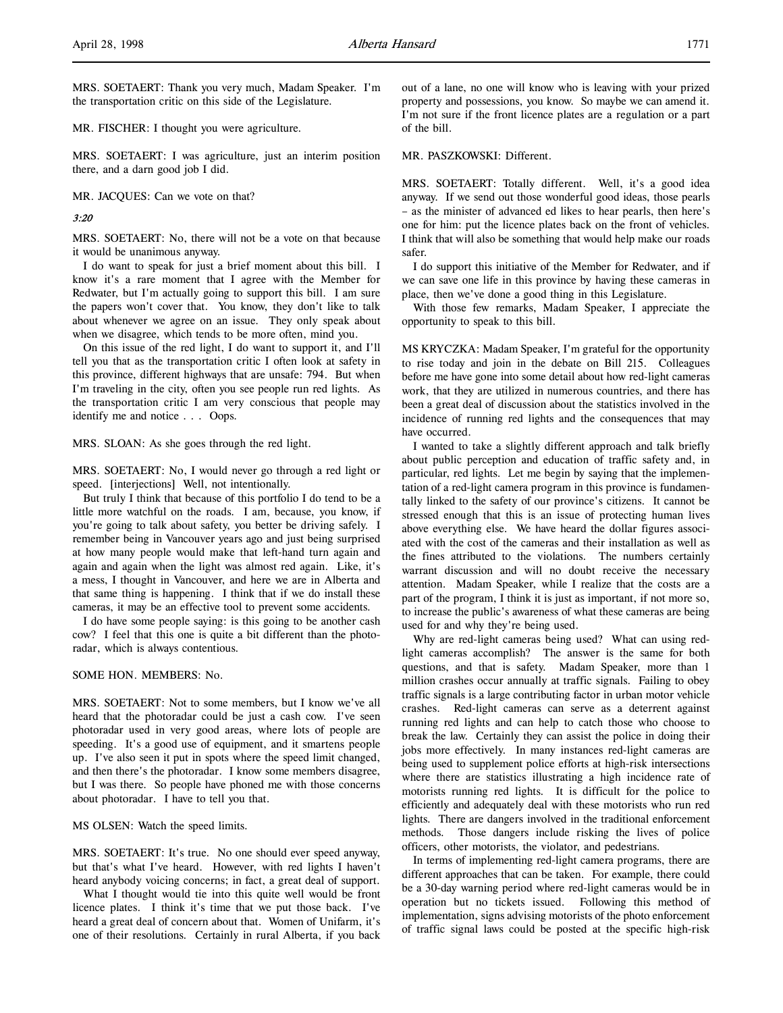MRS. SOETAERT: Thank you very much, Madam Speaker. I'm the transportation critic on this side of the Legislature.

MR. FISCHER: I thought you were agriculture.

MRS. SOETAERT: I was agriculture, just an interim position there, and a darn good job I did.

MR. JACQUES: Can we vote on that?

#### 3:20

MRS. SOETAERT: No, there will not be a vote on that because it would be unanimous anyway.

I do want to speak for just a brief moment about this bill. I know it's a rare moment that I agree with the Member for Redwater, but I'm actually going to support this bill. I am sure the papers won't cover that. You know, they don't like to talk about whenever we agree on an issue. They only speak about when we disagree, which tends to be more often, mind you.

On this issue of the red light, I do want to support it, and I'll tell you that as the transportation critic I often look at safety in this province, different highways that are unsafe: 794. But when I'm traveling in the city, often you see people run red lights. As the transportation critic I am very conscious that people may identify me and notice . . . Oops.

MRS. SLOAN: As she goes through the red light.

MRS. SOETAERT: No, I would never go through a red light or speed. [interjections] Well, not intentionally.

But truly I think that because of this portfolio I do tend to be a little more watchful on the roads. I am, because, you know, if you're going to talk about safety, you better be driving safely. I remember being in Vancouver years ago and just being surprised at how many people would make that left-hand turn again and again and again when the light was almost red again. Like, it's a mess, I thought in Vancouver, and here we are in Alberta and that same thing is happening. I think that if we do install these cameras, it may be an effective tool to prevent some accidents.

I do have some people saying: is this going to be another cash cow? I feel that this one is quite a bit different than the photoradar, which is always contentious.

## SOME HON. MEMBERS: No.

MRS. SOETAERT: Not to some members, but I know we've all heard that the photoradar could be just a cash cow. I've seen photoradar used in very good areas, where lots of people are speeding. It's a good use of equipment, and it smartens people up. I've also seen it put in spots where the speed limit changed, and then there's the photoradar. I know some members disagree, but I was there. So people have phoned me with those concerns about photoradar. I have to tell you that.

MS OLSEN: Watch the speed limits.

MRS. SOETAERT: It's true. No one should ever speed anyway, but that's what I've heard. However, with red lights I haven't heard anybody voicing concerns; in fact, a great deal of support.

What I thought would tie into this quite well would be front licence plates. I think it's time that we put those back. I've heard a great deal of concern about that. Women of Unifarm, it's one of their resolutions. Certainly in rural Alberta, if you back out of a lane, no one will know who is leaving with your prized property and possessions, you know. So maybe we can amend it. I'm not sure if the front licence plates are a regulation or a part of the bill.

## MR. PASZKOWSKI: Different.

MRS. SOETAERT: Totally different. Well, it's a good idea anyway. If we send out those wonderful good ideas, those pearls – as the minister of advanced ed likes to hear pearls, then here's one for him: put the licence plates back on the front of vehicles. I think that will also be something that would help make our roads safer.

I do support this initiative of the Member for Redwater, and if we can save one life in this province by having these cameras in place, then we've done a good thing in this Legislature.

With those few remarks, Madam Speaker, I appreciate the opportunity to speak to this bill.

MS KRYCZKA: Madam Speaker, I'm grateful for the opportunity to rise today and join in the debate on Bill 215. Colleagues before me have gone into some detail about how red-light cameras work, that they are utilized in numerous countries, and there has been a great deal of discussion about the statistics involved in the incidence of running red lights and the consequences that may have occurred.

I wanted to take a slightly different approach and talk briefly about public perception and education of traffic safety and, in particular, red lights. Let me begin by saying that the implementation of a red-light camera program in this province is fundamentally linked to the safety of our province's citizens. It cannot be stressed enough that this is an issue of protecting human lives above everything else. We have heard the dollar figures associated with the cost of the cameras and their installation as well as the fines attributed to the violations. The numbers certainly warrant discussion and will no doubt receive the necessary attention. Madam Speaker, while I realize that the costs are a part of the program, I think it is just as important, if not more so, to increase the public's awareness of what these cameras are being used for and why they're being used.

Why are red-light cameras being used? What can using redlight cameras accomplish? The answer is the same for both questions, and that is safety. Madam Speaker, more than 1 million crashes occur annually at traffic signals. Failing to obey traffic signals is a large contributing factor in urban motor vehicle crashes. Red-light cameras can serve as a deterrent against running red lights and can help to catch those who choose to break the law. Certainly they can assist the police in doing their jobs more effectively. In many instances red-light cameras are being used to supplement police efforts at high-risk intersections where there are statistics illustrating a high incidence rate of motorists running red lights. It is difficult for the police to efficiently and adequately deal with these motorists who run red lights. There are dangers involved in the traditional enforcement methods. Those dangers include risking the lives of police officers, other motorists, the violator, and pedestrians.

In terms of implementing red-light camera programs, there are different approaches that can be taken. For example, there could be a 30-day warning period where red-light cameras would be in operation but no tickets issued. Following this method of implementation, signs advising motorists of the photo enforcement of traffic signal laws could be posted at the specific high-risk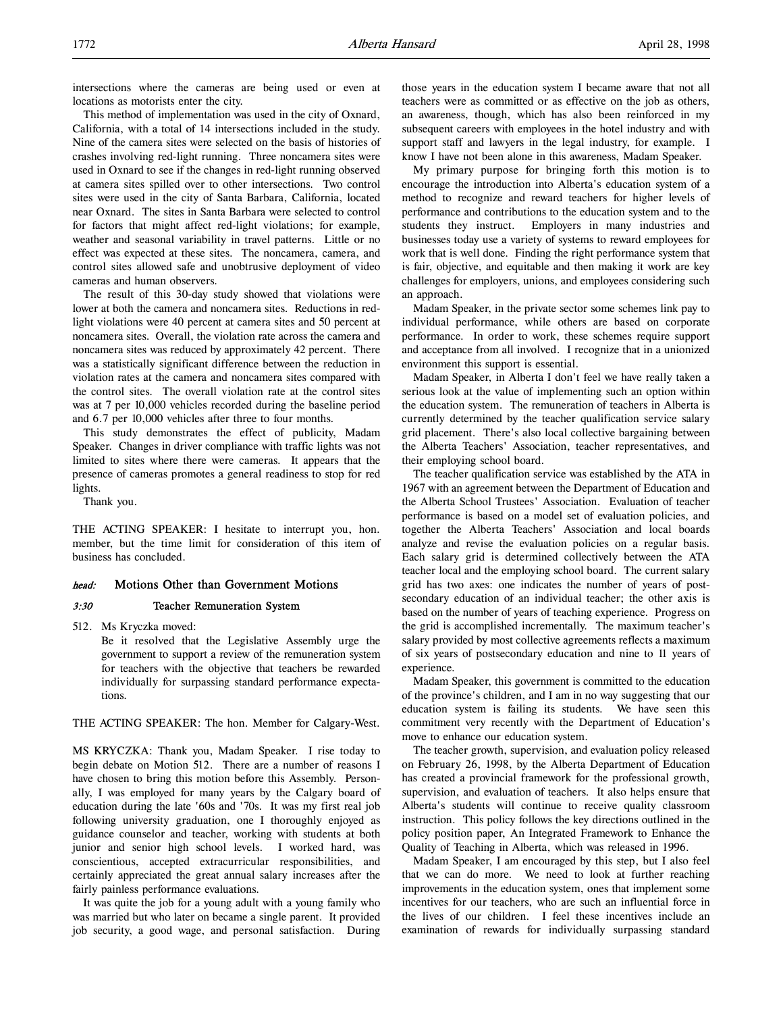intersections where the cameras are being used or even at locations as motorists enter the city.

This method of implementation was used in the city of Oxnard, California, with a total of 14 intersections included in the study. Nine of the camera sites were selected on the basis of histories of crashes involving red-light running. Three noncamera sites were used in Oxnard to see if the changes in red-light running observed at camera sites spilled over to other intersections. Two control sites were used in the city of Santa Barbara, California, located near Oxnard. The sites in Santa Barbara were selected to control for factors that might affect red-light violations; for example, weather and seasonal variability in travel patterns. Little or no effect was expected at these sites. The noncamera, camera, and control sites allowed safe and unobtrusive deployment of video cameras and human observers.

The result of this 30-day study showed that violations were lower at both the camera and noncamera sites. Reductions in redlight violations were 40 percent at camera sites and 50 percent at noncamera sites. Overall, the violation rate across the camera and noncamera sites was reduced by approximately 42 percent. There was a statistically significant difference between the reduction in violation rates at the camera and noncamera sites compared with the control sites. The overall violation rate at the control sites was at 7 per 10,000 vehicles recorded during the baseline period and 6.7 per 10,000 vehicles after three to four months.

This study demonstrates the effect of publicity, Madam Speaker. Changes in driver compliance with traffic lights was not limited to sites where there were cameras. It appears that the presence of cameras promotes a general readiness to stop for red lights.

Thank you.

THE ACTING SPEAKER: I hesitate to interrupt you, hon. member, but the time limit for consideration of this item of business has concluded.

## head: Motions Other than Government Motions

## 3:30 Teacher Remuneration System

512. Ms Kryczka moved:

Be it resolved that the Legislative Assembly urge the government to support a review of the remuneration system for teachers with the objective that teachers be rewarded individually for surpassing standard performance expectations.

THE ACTING SPEAKER: The hon. Member for Calgary-West.

MS KRYCZKA: Thank you, Madam Speaker. I rise today to begin debate on Motion 512. There are a number of reasons I have chosen to bring this motion before this Assembly. Personally, I was employed for many years by the Calgary board of education during the late '60s and '70s. It was my first real job following university graduation, one I thoroughly enjoyed as guidance counselor and teacher, working with students at both junior and senior high school levels. I worked hard, was conscientious, accepted extracurricular responsibilities, and certainly appreciated the great annual salary increases after the fairly painless performance evaluations.

It was quite the job for a young adult with a young family who was married but who later on became a single parent. It provided job security, a good wage, and personal satisfaction. During those years in the education system I became aware that not all teachers were as committed or as effective on the job as others, an awareness, though, which has also been reinforced in my subsequent careers with employees in the hotel industry and with support staff and lawyers in the legal industry, for example. I know I have not been alone in this awareness, Madam Speaker.

My primary purpose for bringing forth this motion is to encourage the introduction into Alberta's education system of a method to recognize and reward teachers for higher levels of performance and contributions to the education system and to the students they instruct. Employers in many industries and businesses today use a variety of systems to reward employees for work that is well done. Finding the right performance system that is fair, objective, and equitable and then making it work are key challenges for employers, unions, and employees considering such an approach.

Madam Speaker, in the private sector some schemes link pay to individual performance, while others are based on corporate performance. In order to work, these schemes require support and acceptance from all involved. I recognize that in a unionized environment this support is essential.

Madam Speaker, in Alberta I don't feel we have really taken a serious look at the value of implementing such an option within the education system. The remuneration of teachers in Alberta is currently determined by the teacher qualification service salary grid placement. There's also local collective bargaining between the Alberta Teachers' Association, teacher representatives, and their employing school board.

The teacher qualification service was established by the ATA in 1967 with an agreement between the Department of Education and the Alberta School Trustees' Association. Evaluation of teacher performance is based on a model set of evaluation policies, and together the Alberta Teachers' Association and local boards analyze and revise the evaluation policies on a regular basis. Each salary grid is determined collectively between the ATA teacher local and the employing school board. The current salary grid has two axes: one indicates the number of years of postsecondary education of an individual teacher; the other axis is based on the number of years of teaching experience. Progress on the grid is accomplished incrementally. The maximum teacher's salary provided by most collective agreements reflects a maximum of six years of postsecondary education and nine to 11 years of experience.

Madam Speaker, this government is committed to the education of the province's children, and I am in no way suggesting that our education system is failing its students. We have seen this commitment very recently with the Department of Education's move to enhance our education system.

The teacher growth, supervision, and evaluation policy released on February 26, 1998, by the Alberta Department of Education has created a provincial framework for the professional growth, supervision, and evaluation of teachers. It also helps ensure that Alberta's students will continue to receive quality classroom instruction. This policy follows the key directions outlined in the policy position paper, An Integrated Framework to Enhance the Quality of Teaching in Alberta, which was released in 1996.

Madam Speaker, I am encouraged by this step, but I also feel that we can do more. We need to look at further reaching improvements in the education system, ones that implement some incentives for our teachers, who are such an influential force in the lives of our children. I feel these incentives include an examination of rewards for individually surpassing standard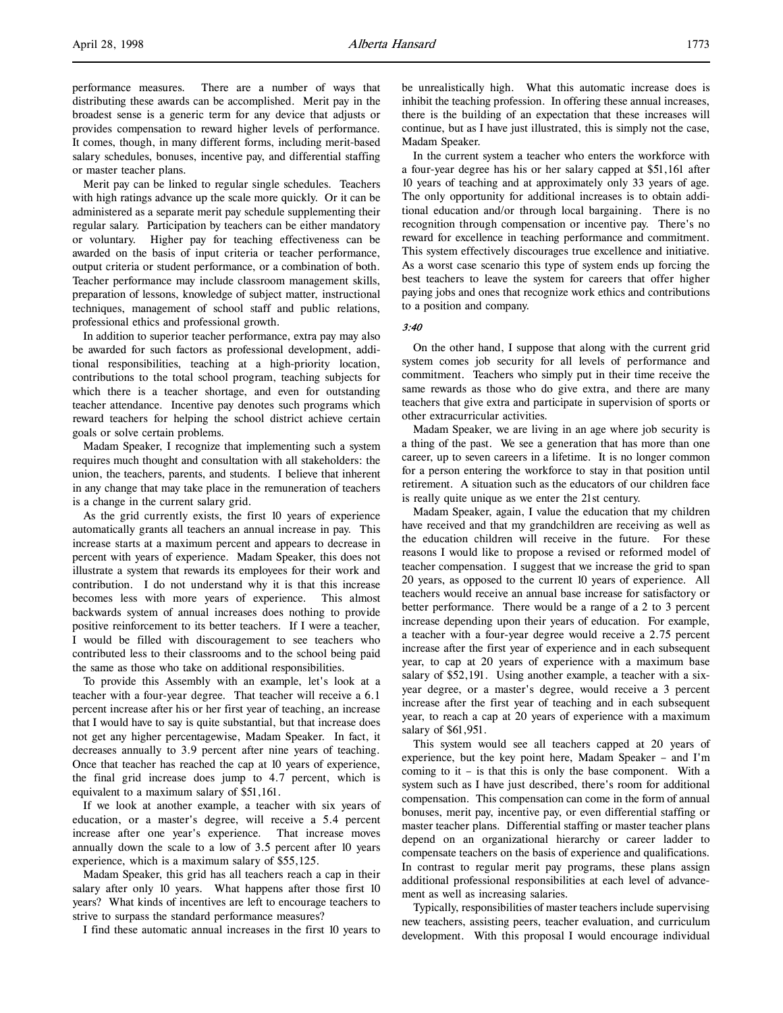performance measures. There are a number of ways that distributing these awards can be accomplished. Merit pay in the broadest sense is a generic term for any device that adjusts or provides compensation to reward higher levels of performance. It comes, though, in many different forms, including merit-based salary schedules, bonuses, incentive pay, and differential staffing or master teacher plans.

Merit pay can be linked to regular single schedules. Teachers with high ratings advance up the scale more quickly. Or it can be administered as a separate merit pay schedule supplementing their regular salary. Participation by teachers can be either mandatory or voluntary. Higher pay for teaching effectiveness can be awarded on the basis of input criteria or teacher performance, output criteria or student performance, or a combination of both. Teacher performance may include classroom management skills, preparation of lessons, knowledge of subject matter, instructional techniques, management of school staff and public relations, professional ethics and professional growth.

In addition to superior teacher performance, extra pay may also be awarded for such factors as professional development, additional responsibilities, teaching at a high-priority location, contributions to the total school program, teaching subjects for which there is a teacher shortage, and even for outstanding teacher attendance. Incentive pay denotes such programs which reward teachers for helping the school district achieve certain goals or solve certain problems.

Madam Speaker, I recognize that implementing such a system requires much thought and consultation with all stakeholders: the union, the teachers, parents, and students. I believe that inherent in any change that may take place in the remuneration of teachers is a change in the current salary grid.

As the grid currently exists, the first 10 years of experience automatically grants all teachers an annual increase in pay. This increase starts at a maximum percent and appears to decrease in percent with years of experience. Madam Speaker, this does not illustrate a system that rewards its employees for their work and contribution. I do not understand why it is that this increase becomes less with more years of experience. This almost backwards system of annual increases does nothing to provide positive reinforcement to its better teachers. If I were a teacher, I would be filled with discouragement to see teachers who contributed less to their classrooms and to the school being paid the same as those who take on additional responsibilities.

To provide this Assembly with an example, let's look at a teacher with a four-year degree. That teacher will receive a 6.1 percent increase after his or her first year of teaching, an increase that I would have to say is quite substantial, but that increase does not get any higher percentagewise, Madam Speaker. In fact, it decreases annually to 3.9 percent after nine years of teaching. Once that teacher has reached the cap at 10 years of experience, the final grid increase does jump to 4.7 percent, which is equivalent to a maximum salary of \$51,161.

If we look at another example, a teacher with six years of education, or a master's degree, will receive a 5.4 percent increase after one year's experience. That increase moves annually down the scale to a low of 3.5 percent after 10 years experience, which is a maximum salary of \$55,125.

Madam Speaker, this grid has all teachers reach a cap in their salary after only 10 years. What happens after those first 10 years? What kinds of incentives are left to encourage teachers to strive to surpass the standard performance measures?

I find these automatic annual increases in the first 10 years to

be unrealistically high. What this automatic increase does is inhibit the teaching profession. In offering these annual increases, there is the building of an expectation that these increases will continue, but as I have just illustrated, this is simply not the case, Madam Speaker.

In the current system a teacher who enters the workforce with a four-year degree has his or her salary capped at \$51,161 after 10 years of teaching and at approximately only 33 years of age. The only opportunity for additional increases is to obtain additional education and/or through local bargaining. There is no recognition through compensation or incentive pay. There's no reward for excellence in teaching performance and commitment. This system effectively discourages true excellence and initiative. As a worst case scenario this type of system ends up forcing the best teachers to leave the system for careers that offer higher paying jobs and ones that recognize work ethics and contributions to a position and company.

### 3:40

On the other hand, I suppose that along with the current grid system comes job security for all levels of performance and commitment. Teachers who simply put in their time receive the same rewards as those who do give extra, and there are many teachers that give extra and participate in supervision of sports or other extracurricular activities.

Madam Speaker, we are living in an age where job security is a thing of the past. We see a generation that has more than one career, up to seven careers in a lifetime. It is no longer common for a person entering the workforce to stay in that position until retirement. A situation such as the educators of our children face is really quite unique as we enter the 21st century.

Madam Speaker, again, I value the education that my children have received and that my grandchildren are receiving as well as the education children will receive in the future. For these reasons I would like to propose a revised or reformed model of teacher compensation. I suggest that we increase the grid to span 20 years, as opposed to the current 10 years of experience. All teachers would receive an annual base increase for satisfactory or better performance. There would be a range of a 2 to 3 percent increase depending upon their years of education. For example, a teacher with a four-year degree would receive a 2.75 percent increase after the first year of experience and in each subsequent year, to cap at 20 years of experience with a maximum base salary of \$52,191. Using another example, a teacher with a sixyear degree, or a master's degree, would receive a 3 percent increase after the first year of teaching and in each subsequent year, to reach a cap at 20 years of experience with a maximum salary of \$61,951.

This system would see all teachers capped at 20 years of experience, but the key point here, Madam Speaker – and I'm coming to it – is that this is only the base component. With a system such as I have just described, there's room for additional compensation. This compensation can come in the form of annual bonuses, merit pay, incentive pay, or even differential staffing or master teacher plans. Differential staffing or master teacher plans depend on an organizational hierarchy or career ladder to compensate teachers on the basis of experience and qualifications. In contrast to regular merit pay programs, these plans assign additional professional responsibilities at each level of advancement as well as increasing salaries.

Typically, responsibilities of master teachers include supervising new teachers, assisting peers, teacher evaluation, and curriculum development. With this proposal I would encourage individual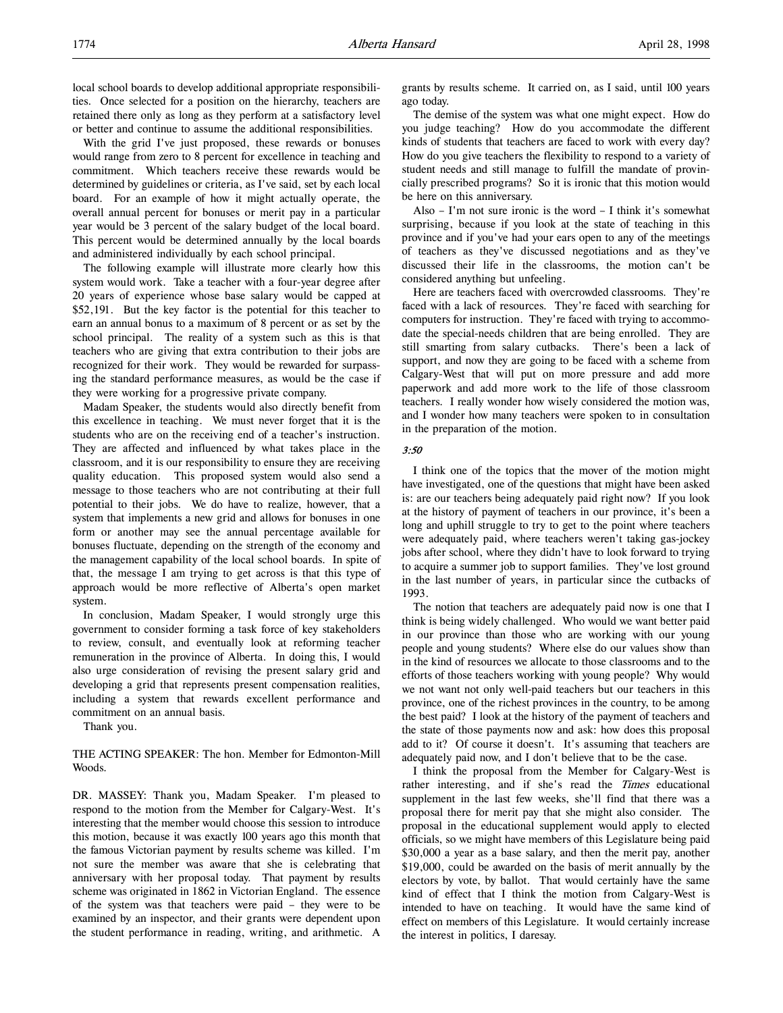With the grid I've just proposed, these rewards or bonuses would range from zero to 8 percent for excellence in teaching and commitment. Which teachers receive these rewards would be determined by guidelines or criteria, as I've said, set by each local board. For an example of how it might actually operate, the overall annual percent for bonuses or merit pay in a particular year would be 3 percent of the salary budget of the local board. This percent would be determined annually by the local boards and administered individually by each school principal.

The following example will illustrate more clearly how this system would work. Take a teacher with a four-year degree after 20 years of experience whose base salary would be capped at \$52,191. But the key factor is the potential for this teacher to earn an annual bonus to a maximum of 8 percent or as set by the school principal. The reality of a system such as this is that teachers who are giving that extra contribution to their jobs are recognized for their work. They would be rewarded for surpassing the standard performance measures, as would be the case if they were working for a progressive private company.

Madam Speaker, the students would also directly benefit from this excellence in teaching. We must never forget that it is the students who are on the receiving end of a teacher's instruction. They are affected and influenced by what takes place in the classroom, and it is our responsibility to ensure they are receiving quality education. This proposed system would also send a message to those teachers who are not contributing at their full potential to their jobs. We do have to realize, however, that a system that implements a new grid and allows for bonuses in one form or another may see the annual percentage available for bonuses fluctuate, depending on the strength of the economy and the management capability of the local school boards. In spite of that, the message I am trying to get across is that this type of approach would be more reflective of Alberta's open market system.

In conclusion, Madam Speaker, I would strongly urge this government to consider forming a task force of key stakeholders to review, consult, and eventually look at reforming teacher remuneration in the province of Alberta. In doing this, I would also urge consideration of revising the present salary grid and developing a grid that represents present compensation realities, including a system that rewards excellent performance and commitment on an annual basis.

Thank you.

THE ACTING SPEAKER: The hon. Member for Edmonton-Mill Woods.

DR. MASSEY: Thank you, Madam Speaker. I'm pleased to respond to the motion from the Member for Calgary-West. It's interesting that the member would choose this session to introduce this motion, because it was exactly 100 years ago this month that the famous Victorian payment by results scheme was killed. I'm not sure the member was aware that she is celebrating that anniversary with her proposal today. That payment by results scheme was originated in 1862 in Victorian England. The essence of the system was that teachers were paid – they were to be examined by an inspector, and their grants were dependent upon the student performance in reading, writing, and arithmetic. A

grants by results scheme. It carried on, as I said, until 100 years ago today.

The demise of the system was what one might expect. How do you judge teaching? How do you accommodate the different kinds of students that teachers are faced to work with every day? How do you give teachers the flexibility to respond to a variety of student needs and still manage to fulfill the mandate of provincially prescribed programs? So it is ironic that this motion would be here on this anniversary.

Also – I'm not sure ironic is the word – I think it's somewhat surprising, because if you look at the state of teaching in this province and if you've had your ears open to any of the meetings of teachers as they've discussed negotiations and as they've discussed their life in the classrooms, the motion can't be considered anything but unfeeling.

Here are teachers faced with overcrowded classrooms. They're faced with a lack of resources. They're faced with searching for computers for instruction. They're faced with trying to accommodate the special-needs children that are being enrolled. They are still smarting from salary cutbacks. There's been a lack of support, and now they are going to be faced with a scheme from Calgary-West that will put on more pressure and add more paperwork and add more work to the life of those classroom teachers. I really wonder how wisely considered the motion was, and I wonder how many teachers were spoken to in consultation in the preparation of the motion.

### 3:50

I think one of the topics that the mover of the motion might have investigated, one of the questions that might have been asked is: are our teachers being adequately paid right now? If you look at the history of payment of teachers in our province, it's been a long and uphill struggle to try to get to the point where teachers were adequately paid, where teachers weren't taking gas-jockey jobs after school, where they didn't have to look forward to trying to acquire a summer job to support families. They've lost ground in the last number of years, in particular since the cutbacks of 1993.

The notion that teachers are adequately paid now is one that I think is being widely challenged. Who would we want better paid in our province than those who are working with our young people and young students? Where else do our values show than in the kind of resources we allocate to those classrooms and to the efforts of those teachers working with young people? Why would we not want not only well-paid teachers but our teachers in this province, one of the richest provinces in the country, to be among the best paid? I look at the history of the payment of teachers and the state of those payments now and ask: how does this proposal add to it? Of course it doesn't. It's assuming that teachers are adequately paid now, and I don't believe that to be the case.

I think the proposal from the Member for Calgary-West is rather interesting, and if she's read the *Times* educational supplement in the last few weeks, she'll find that there was a proposal there for merit pay that she might also consider. The proposal in the educational supplement would apply to elected officials, so we might have members of this Legislature being paid \$30,000 a year as a base salary, and then the merit pay, another \$19,000, could be awarded on the basis of merit annually by the electors by vote, by ballot. That would certainly have the same kind of effect that I think the motion from Calgary-West is intended to have on teaching. It would have the same kind of effect on members of this Legislature. It would certainly increase the interest in politics, I daresay.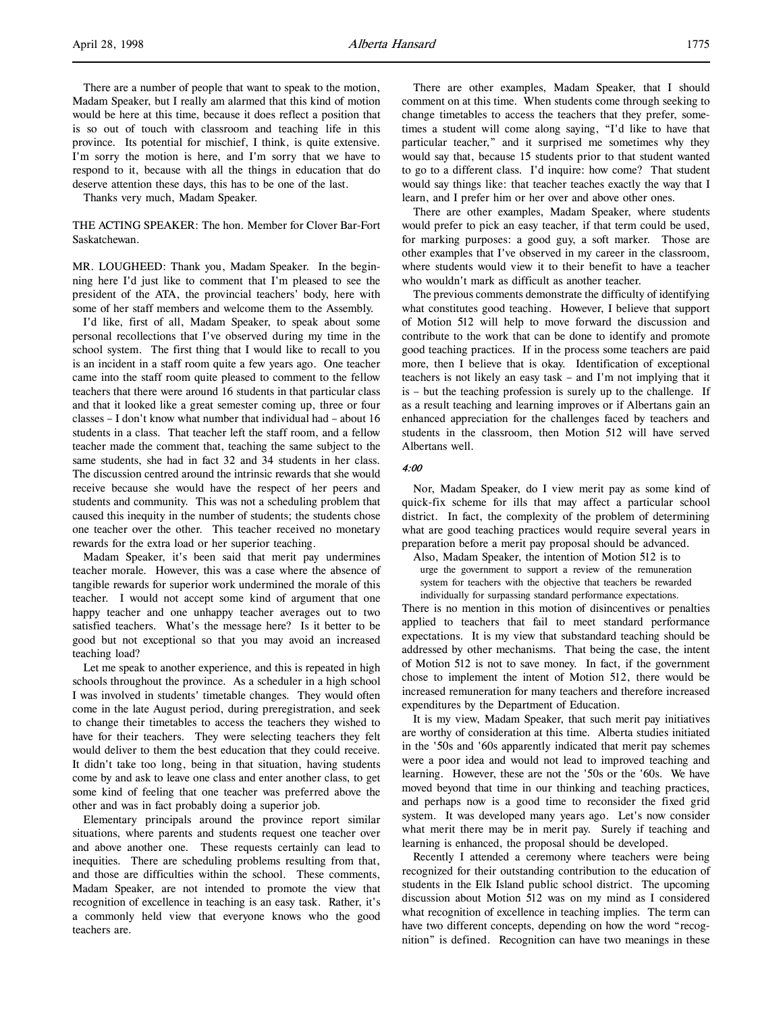There are a number of people that want to speak to the motion, Madam Speaker, but I really am alarmed that this kind of motion would be here at this time, because it does reflect a position that is so out of touch with classroom and teaching life in this province. Its potential for mischief, I think, is quite extensive. I'm sorry the motion is here, and I'm sorry that we have to respond to it, because with all the things in education that do deserve attention these days, this has to be one of the last.

Thanks very much, Madam Speaker.

THE ACTING SPEAKER: The hon. Member for Clover Bar-Fort Saskatchewan.

MR. LOUGHEED: Thank you, Madam Speaker. In the beginning here I'd just like to comment that I'm pleased to see the president of the ATA, the provincial teachers' body, here with some of her staff members and welcome them to the Assembly.

I'd like, first of all, Madam Speaker, to speak about some personal recollections that I've observed during my time in the school system. The first thing that I would like to recall to you is an incident in a staff room quite a few years ago. One teacher came into the staff room quite pleased to comment to the fellow teachers that there were around 16 students in that particular class and that it looked like a great semester coming up, three or four classes – I don't know what number that individual had – about 16 students in a class. That teacher left the staff room, and a fellow teacher made the comment that, teaching the same subject to the same students, she had in fact 32 and 34 students in her class. The discussion centred around the intrinsic rewards that she would receive because she would have the respect of her peers and students and community. This was not a scheduling problem that caused this inequity in the number of students; the students chose one teacher over the other. This teacher received no monetary rewards for the extra load or her superior teaching.

Madam Speaker, it's been said that merit pay undermines teacher morale. However, this was a case where the absence of tangible rewards for superior work undermined the morale of this teacher. I would not accept some kind of argument that one happy teacher and one unhappy teacher averages out to two satisfied teachers. What's the message here? Is it better to be good but not exceptional so that you may avoid an increased teaching load?

Let me speak to another experience, and this is repeated in high schools throughout the province. As a scheduler in a high school I was involved in students' timetable changes. They would often come in the late August period, during preregistration, and seek to change their timetables to access the teachers they wished to have for their teachers. They were selecting teachers they felt would deliver to them the best education that they could receive. It didn't take too long, being in that situation, having students come by and ask to leave one class and enter another class, to get some kind of feeling that one teacher was preferred above the other and was in fact probably doing a superior job.

Elementary principals around the province report similar situations, where parents and students request one teacher over and above another one. These requests certainly can lead to inequities. There are scheduling problems resulting from that, and those are difficulties within the school. These comments, Madam Speaker, are not intended to promote the view that recognition of excellence in teaching is an easy task. Rather, it's a commonly held view that everyone knows who the good teachers are.

There are other examples, Madam Speaker, that I should comment on at this time. When students come through seeking to change timetables to access the teachers that they prefer, sometimes a student will come along saying, "I'd like to have that particular teacher," and it surprised me sometimes why they would say that, because 15 students prior to that student wanted to go to a different class. I'd inquire: how come? That student would say things like: that teacher teaches exactly the way that I learn, and I prefer him or her over and above other ones.

There are other examples, Madam Speaker, where students would prefer to pick an easy teacher, if that term could be used, for marking purposes: a good guy, a soft marker. Those are other examples that I've observed in my career in the classroom, where students would view it to their benefit to have a teacher who wouldn't mark as difficult as another teacher.

The previous comments demonstrate the difficulty of identifying what constitutes good teaching. However, I believe that support of Motion 512 will help to move forward the discussion and contribute to the work that can be done to identify and promote good teaching practices. If in the process some teachers are paid more, then I believe that is okay. Identification of exceptional teachers is not likely an easy task – and I'm not implying that it is – but the teaching profession is surely up to the challenge. If as a result teaching and learning improves or if Albertans gain an enhanced appreciation for the challenges faced by teachers and students in the classroom, then Motion 512 will have served Albertans well.

## $4:00$

Nor, Madam Speaker, do I view merit pay as some kind of quick-fix scheme for ills that may affect a particular school district. In fact, the complexity of the problem of determining what are good teaching practices would require several years in preparation before a merit pay proposal should be advanced.

Also, Madam Speaker, the intention of Motion 512 is to urge the government to support a review of the remuneration system for teachers with the objective that teachers be rewarded individually for surpassing standard performance expectations.

There is no mention in this motion of disincentives or penalties applied to teachers that fail to meet standard performance expectations. It is my view that substandard teaching should be addressed by other mechanisms. That being the case, the intent of Motion 512 is not to save money. In fact, if the government chose to implement the intent of Motion 512, there would be increased remuneration for many teachers and therefore increased expenditures by the Department of Education.

It is my view, Madam Speaker, that such merit pay initiatives are worthy of consideration at this time. Alberta studies initiated in the '50s and '60s apparently indicated that merit pay schemes were a poor idea and would not lead to improved teaching and learning. However, these are not the '50s or the '60s. We have moved beyond that time in our thinking and teaching practices, and perhaps now is a good time to reconsider the fixed grid system. It was developed many years ago. Let's now consider what merit there may be in merit pay. Surely if teaching and learning is enhanced, the proposal should be developed.

Recently I attended a ceremony where teachers were being recognized for their outstanding contribution to the education of students in the Elk Island public school district. The upcoming discussion about Motion 512 was on my mind as I considered what recognition of excellence in teaching implies. The term can have two different concepts, depending on how the word "recognition" is defined. Recognition can have two meanings in these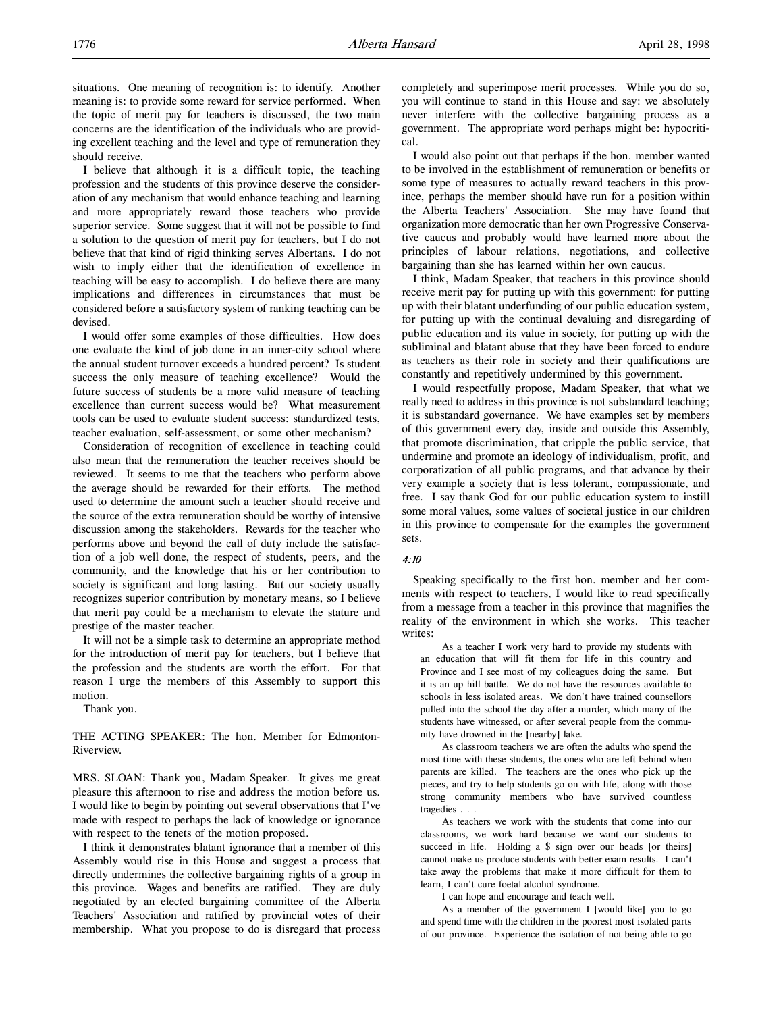I believe that although it is a difficult topic, the teaching profession and the students of this province deserve the consideration of any mechanism that would enhance teaching and learning and more appropriately reward those teachers who provide superior service. Some suggest that it will not be possible to find a solution to the question of merit pay for teachers, but I do not believe that that kind of rigid thinking serves Albertans. I do not wish to imply either that the identification of excellence in teaching will be easy to accomplish. I do believe there are many implications and differences in circumstances that must be considered before a satisfactory system of ranking teaching can be devised.

I would offer some examples of those difficulties. How does one evaluate the kind of job done in an inner-city school where the annual student turnover exceeds a hundred percent? Is student success the only measure of teaching excellence? Would the future success of students be a more valid measure of teaching excellence than current success would be? What measurement tools can be used to evaluate student success: standardized tests, teacher evaluation, self-assessment, or some other mechanism?

Consideration of recognition of excellence in teaching could also mean that the remuneration the teacher receives should be reviewed. It seems to me that the teachers who perform above the average should be rewarded for their efforts. The method used to determine the amount such a teacher should receive and the source of the extra remuneration should be worthy of intensive discussion among the stakeholders. Rewards for the teacher who performs above and beyond the call of duty include the satisfaction of a job well done, the respect of students, peers, and the community, and the knowledge that his or her contribution to society is significant and long lasting. But our society usually recognizes superior contribution by monetary means, so I believe that merit pay could be a mechanism to elevate the stature and prestige of the master teacher.

It will not be a simple task to determine an appropriate method for the introduction of merit pay for teachers, but I believe that the profession and the students are worth the effort. For that reason I urge the members of this Assembly to support this motion.

Thank you.

THE ACTING SPEAKER: The hon. Member for Edmonton-Riverview.

MRS. SLOAN: Thank you, Madam Speaker. It gives me great pleasure this afternoon to rise and address the motion before us. I would like to begin by pointing out several observations that I've made with respect to perhaps the lack of knowledge or ignorance with respect to the tenets of the motion proposed.

I think it demonstrates blatant ignorance that a member of this Assembly would rise in this House and suggest a process that directly undermines the collective bargaining rights of a group in this province. Wages and benefits are ratified. They are duly negotiated by an elected bargaining committee of the Alberta Teachers' Association and ratified by provincial votes of their membership. What you propose to do is disregard that process

completely and superimpose merit processes. While you do so, you will continue to stand in this House and say: we absolutely never interfere with the collective bargaining process as a government. The appropriate word perhaps might be: hypocritical.

I would also point out that perhaps if the hon. member wanted to be involved in the establishment of remuneration or benefits or some type of measures to actually reward teachers in this province, perhaps the member should have run for a position within the Alberta Teachers' Association. She may have found that organization more democratic than her own Progressive Conservative caucus and probably would have learned more about the principles of labour relations, negotiations, and collective bargaining than she has learned within her own caucus.

I think, Madam Speaker, that teachers in this province should receive merit pay for putting up with this government: for putting up with their blatant underfunding of our public education system, for putting up with the continual devaluing and disregarding of public education and its value in society, for putting up with the subliminal and blatant abuse that they have been forced to endure as teachers as their role in society and their qualifications are constantly and repetitively undermined by this government.

I would respectfully propose, Madam Speaker, that what we really need to address in this province is not substandard teaching; it is substandard governance. We have examples set by members of this government every day, inside and outside this Assembly, that promote discrimination, that cripple the public service, that undermine and promote an ideology of individualism, profit, and corporatization of all public programs, and that advance by their very example a society that is less tolerant, compassionate, and free. I say thank God for our public education system to instill some moral values, some values of societal justice in our children in this province to compensate for the examples the government sets.

### 4:10

Speaking specifically to the first hon. member and her comments with respect to teachers, I would like to read specifically from a message from a teacher in this province that magnifies the reality of the environment in which she works. This teacher writes:

As a teacher I work very hard to provide my students with an education that will fit them for life in this country and Province and I see most of my colleagues doing the same. But it is an up hill battle. We do not have the resources available to schools in less isolated areas. We don't have trained counsellors pulled into the school the day after a murder, which many of the students have witnessed, or after several people from the community have drowned in the [nearby] lake.

As classroom teachers we are often the adults who spend the most time with these students, the ones who are left behind when parents are killed. The teachers are the ones who pick up the pieces, and try to help students go on with life, along with those strong community members who have survived countless tragedies . . .

As teachers we work with the students that come into our classrooms, we work hard because we want our students to succeed in life. Holding a \$ sign over our heads [or theirs] cannot make us produce students with better exam results. I can't take away the problems that make it more difficult for them to learn, I can't cure foetal alcohol syndrome.

I can hope and encourage and teach well.

As a member of the government I [would like] you to go and spend time with the children in the poorest most isolated parts of our province. Experience the isolation of not being able to go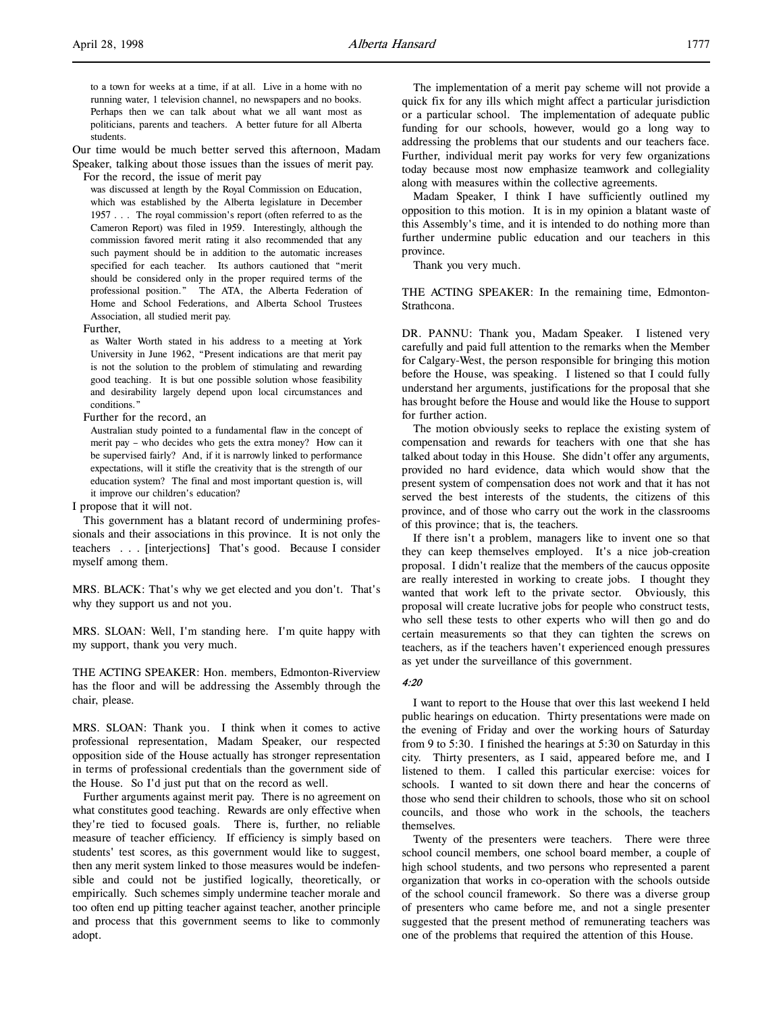Our time would be much better served this afternoon, Madam Speaker, talking about those issues than the issues of merit pay.

For the record, the issue of merit pay was discussed at length by the Royal Commission on Education, which was established by the Alberta legislature in December 1957 . . . The royal commission's report (often referred to as the Cameron Report) was filed in 1959. Interestingly, although the commission favored merit rating it also recommended that any such payment should be in addition to the automatic increases specified for each teacher. Its authors cautioned that "merit should be considered only in the proper required terms of the professional position." The ATA, the Alberta Federation of Home and School Federations, and Alberta School Trustees Association, all studied merit pay.

Further,

as Walter Worth stated in his address to a meeting at York University in June 1962, "Present indications are that merit pay is not the solution to the problem of stimulating and rewarding good teaching. It is but one possible solution whose feasibility and desirability largely depend upon local circumstances and conditions."

Further for the record, an

Australian study pointed to a fundamental flaw in the concept of merit pay – who decides who gets the extra money? How can it be supervised fairly? And, if it is narrowly linked to performance expectations, will it stifle the creativity that is the strength of our education system? The final and most important question is, will it improve our children's education?

I propose that it will not.

This government has a blatant record of undermining professionals and their associations in this province. It is not only the teachers . . . [interjections] That's good. Because I consider myself among them.

MRS. BLACK: That's why we get elected and you don't. That's why they support us and not you.

MRS. SLOAN: Well, I'm standing here. I'm quite happy with my support, thank you very much.

THE ACTING SPEAKER: Hon. members, Edmonton-Riverview has the floor and will be addressing the Assembly through the chair, please.

MRS. SLOAN: Thank you. I think when it comes to active professional representation, Madam Speaker, our respected opposition side of the House actually has stronger representation in terms of professional credentials than the government side of the House. So I'd just put that on the record as well.

Further arguments against merit pay. There is no agreement on what constitutes good teaching. Rewards are only effective when they're tied to focused goals. There is, further, no reliable measure of teacher efficiency. If efficiency is simply based on students' test scores, as this government would like to suggest, then any merit system linked to those measures would be indefensible and could not be justified logically, theoretically, or empirically. Such schemes simply undermine teacher morale and too often end up pitting teacher against teacher, another principle and process that this government seems to like to commonly adopt.

The implementation of a merit pay scheme will not provide a quick fix for any ills which might affect a particular jurisdiction or a particular school. The implementation of adequate public funding for our schools, however, would go a long way to addressing the problems that our students and our teachers face. Further, individual merit pay works for very few organizations today because most now emphasize teamwork and collegiality along with measures within the collective agreements.

Madam Speaker, I think I have sufficiently outlined my opposition to this motion. It is in my opinion a blatant waste of this Assembly's time, and it is intended to do nothing more than further undermine public education and our teachers in this province.

Thank you very much.

THE ACTING SPEAKER: In the remaining time, Edmonton-Strathcona.

DR. PANNU: Thank you, Madam Speaker. I listened very carefully and paid full attention to the remarks when the Member for Calgary-West, the person responsible for bringing this motion before the House, was speaking. I listened so that I could fully understand her arguments, justifications for the proposal that she has brought before the House and would like the House to support for further action.

The motion obviously seeks to replace the existing system of compensation and rewards for teachers with one that she has talked about today in this House. She didn't offer any arguments, provided no hard evidence, data which would show that the present system of compensation does not work and that it has not served the best interests of the students, the citizens of this province, and of those who carry out the work in the classrooms of this province; that is, the teachers.

If there isn't a problem, managers like to invent one so that they can keep themselves employed. It's a nice job-creation proposal. I didn't realize that the members of the caucus opposite are really interested in working to create jobs. I thought they wanted that work left to the private sector. Obviously, this proposal will create lucrative jobs for people who construct tests, who sell these tests to other experts who will then go and do certain measurements so that they can tighten the screws on teachers, as if the teachers haven't experienced enough pressures as yet under the surveillance of this government.

## 4:20

I want to report to the House that over this last weekend I held public hearings on education. Thirty presentations were made on the evening of Friday and over the working hours of Saturday from 9 to 5:30. I finished the hearings at 5:30 on Saturday in this city. Thirty presenters, as I said, appeared before me, and I listened to them. I called this particular exercise: voices for schools. I wanted to sit down there and hear the concerns of those who send their children to schools, those who sit on school councils, and those who work in the schools, the teachers themselves.

Twenty of the presenters were teachers. There were three school council members, one school board member, a couple of high school students, and two persons who represented a parent organization that works in co-operation with the schools outside of the school council framework. So there was a diverse group of presenters who came before me, and not a single presenter suggested that the present method of remunerating teachers was one of the problems that required the attention of this House.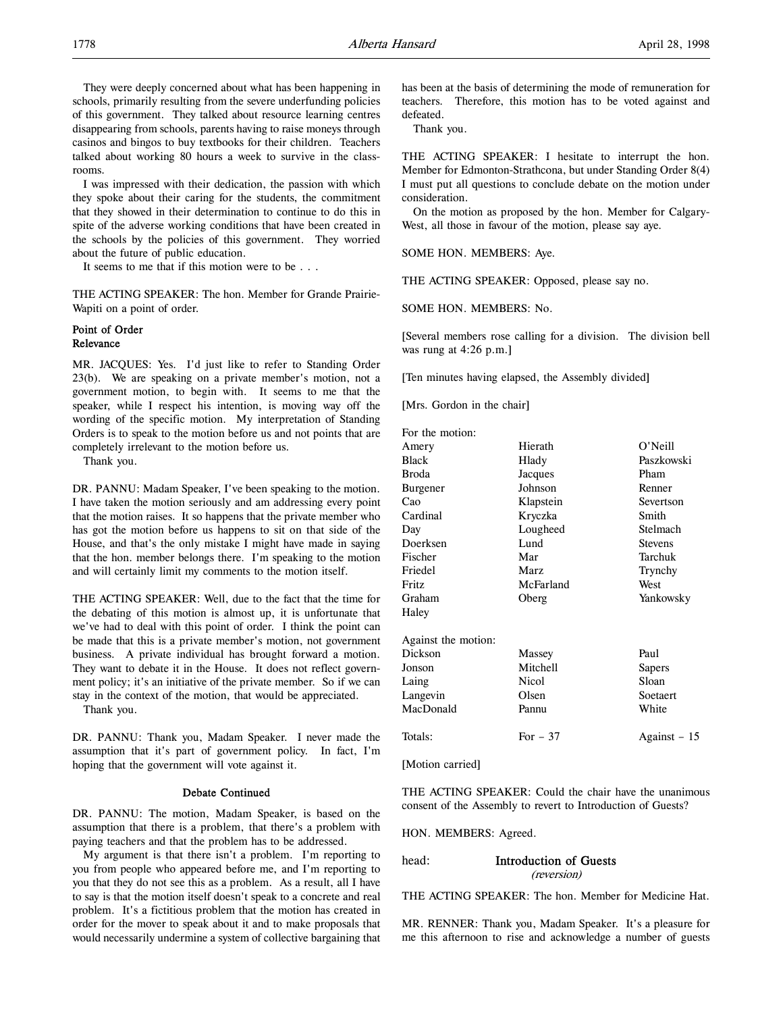They were deeply concerned about what has been happening in schools, primarily resulting from the severe underfunding policies of this government. They talked about resource learning centres disappearing from schools, parents having to raise moneys through casinos and bingos to buy textbooks for their children. Teachers talked about working 80 hours a week to survive in the classrooms.

I was impressed with their dedication, the passion with which they spoke about their caring for the students, the commitment that they showed in their determination to continue to do this in spite of the adverse working conditions that have been created in the schools by the policies of this government. They worried about the future of public education.

It seems to me that if this motion were to be . . .

THE ACTING SPEAKER: The hon. Member for Grande Prairie-Wapiti on a point of order.

## Point of Order Relevance

MR. JACQUES: Yes. I'd just like to refer to Standing Order 23(b). We are speaking on a private member's motion, not a government motion, to begin with. It seems to me that the speaker, while I respect his intention, is moving way off the wording of the specific motion. My interpretation of Standing Orders is to speak to the motion before us and not points that are completely irrelevant to the motion before us.

Thank you.

DR. PANNU: Madam Speaker, I've been speaking to the motion. I have taken the motion seriously and am addressing every point that the motion raises. It so happens that the private member who has got the motion before us happens to sit on that side of the House, and that's the only mistake I might have made in saying that the hon. member belongs there. I'm speaking to the motion and will certainly limit my comments to the motion itself.

THE ACTING SPEAKER: Well, due to the fact that the time for the debating of this motion is almost up, it is unfortunate that we've had to deal with this point of order. I think the point can be made that this is a private member's motion, not government business. A private individual has brought forward a motion. They want to debate it in the House. It does not reflect government policy; it's an initiative of the private member. So if we can stay in the context of the motion, that would be appreciated.

Thank you.

DR. PANNU: Thank you, Madam Speaker. I never made the assumption that it's part of government policy. In fact, I'm hoping that the government will vote against it.

#### Debate Continued

DR. PANNU: The motion, Madam Speaker, is based on the assumption that there is a problem, that there's a problem with paying teachers and that the problem has to be addressed.

My argument is that there isn't a problem. I'm reporting to you from people who appeared before me, and I'm reporting to you that they do not see this as a problem. As a result, all I have to say is that the motion itself doesn't speak to a concrete and real problem. It's a fictitious problem that the motion has created in order for the mover to speak about it and to make proposals that would necessarily undermine a system of collective bargaining that

has been at the basis of determining the mode of remuneration for teachers. Therefore, this motion has to be voted against and defeated.

Thank you.

THE ACTING SPEAKER: I hesitate to interrupt the hon. Member for Edmonton-Strathcona, but under Standing Order 8(4) I must put all questions to conclude debate on the motion under consideration.

On the motion as proposed by the hon. Member for Calgary-West, all those in favour of the motion, please say aye.

SOME HON. MEMBERS: Aye.

THE ACTING SPEAKER: Opposed, please say no.

SOME HON. MEMBERS: No.

[Several members rose calling for a division. The division bell was rung at 4:26 p.m.]

[Ten minutes having elapsed, the Assembly divided]

[Mrs. Gordon in the chair]

| For the motion:     |              |                |
|---------------------|--------------|----------------|
| Amery               | Hierath      | O'Neill        |
| Black               | Hlady        | Paszkowski     |
| Broda               | Jacques      | Pham           |
| Burgener            | Johnson      | Renner         |
| Cao                 | Klapstein    | Severtson      |
| Cardinal            | Kryczka      | Smith          |
| Day                 | Lougheed     | Stelmach       |
| Doerksen            | Lund         | <b>Stevens</b> |
| Fischer             | Mar          | Tarchuk        |
| Friedel             | Marz         | Trynchy        |
| Fritz               | McFarland    | West           |
| Graham              | Oberg        | Yankowsky      |
| Haley               |              |                |
| Against the motion: |              |                |
| Dickson             | Massey       | Paul           |
| Jonson              | Mitchell     | Sapers         |
| Laing               | <b>Nicol</b> | Sloan          |
| Langevin            | Olsen        | Soetaert       |
| MacDonald           | Pannu        | White          |
| Totals:             | For $-37$    | Against – 15   |
|                     |              |                |

[Motion carried]

THE ACTING SPEAKER: Could the chair have the unanimous consent of the Assembly to revert to Introduction of Guests?

HON. MEMBERS: Agreed.

head: Introduction of Guests (reversion)

THE ACTING SPEAKER: The hon. Member for Medicine Hat.

MR. RENNER: Thank you, Madam Speaker. It's a pleasure for me this afternoon to rise and acknowledge a number of guests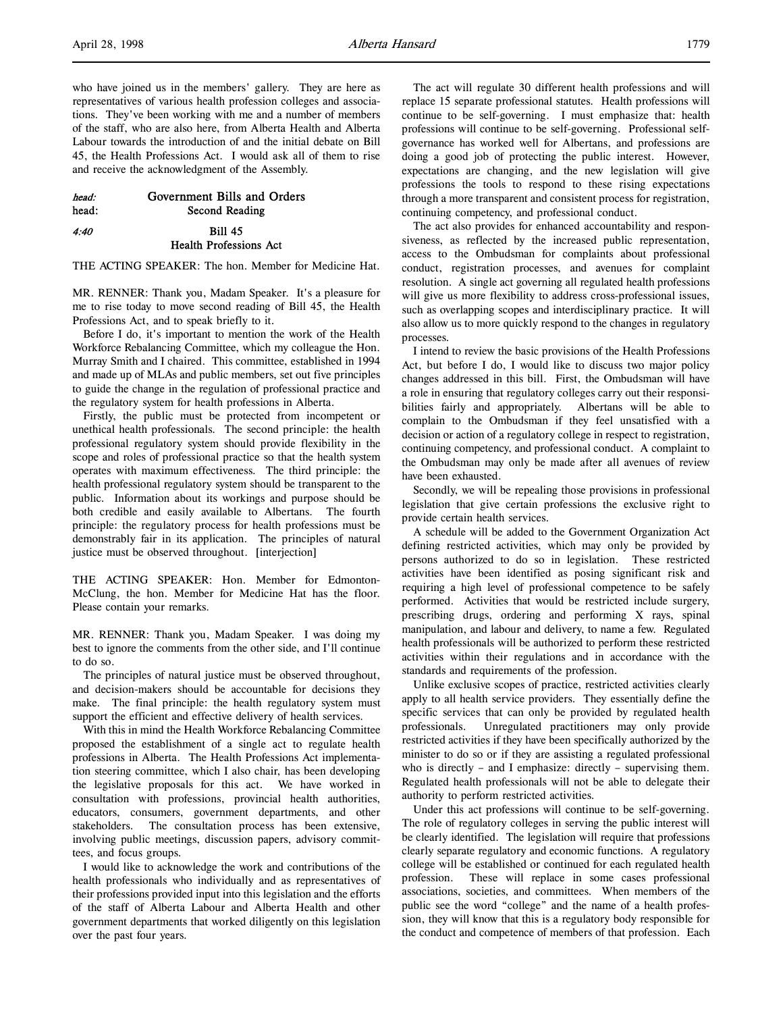| head:<br>head: | Government Bills and Orders<br>Second Reading |
|----------------|-----------------------------------------------|
| 4:40           | <b>Bill 45</b>                                |
|                | <b>Health Professions Act</b>                 |

THE ACTING SPEAKER: The hon. Member for Medicine Hat.

MR. RENNER: Thank you, Madam Speaker. It's a pleasure for me to rise today to move second reading of Bill 45, the Health Professions Act, and to speak briefly to it.

Before I do, it's important to mention the work of the Health Workforce Rebalancing Committee, which my colleague the Hon. Murray Smith and I chaired. This committee, established in 1994 and made up of MLAs and public members, set out five principles to guide the change in the regulation of professional practice and the regulatory system for health professions in Alberta.

Firstly, the public must be protected from incompetent or unethical health professionals. The second principle: the health professional regulatory system should provide flexibility in the scope and roles of professional practice so that the health system operates with maximum effectiveness. The third principle: the health professional regulatory system should be transparent to the public. Information about its workings and purpose should be both credible and easily available to Albertans. The fourth principle: the regulatory process for health professions must be demonstrably fair in its application. The principles of natural justice must be observed throughout. [interjection]

THE ACTING SPEAKER: Hon. Member for Edmonton-McClung, the hon. Member for Medicine Hat has the floor. Please contain your remarks.

MR. RENNER: Thank you, Madam Speaker. I was doing my best to ignore the comments from the other side, and I'll continue to do so.

The principles of natural justice must be observed throughout, and decision-makers should be accountable for decisions they make. The final principle: the health regulatory system must support the efficient and effective delivery of health services.

With this in mind the Health Workforce Rebalancing Committee proposed the establishment of a single act to regulate health professions in Alberta. The Health Professions Act implementation steering committee, which I also chair, has been developing the legislative proposals for this act. We have worked in consultation with professions, provincial health authorities, educators, consumers, government departments, and other stakeholders. The consultation process has been extensive, involving public meetings, discussion papers, advisory committees, and focus groups.

I would like to acknowledge the work and contributions of the health professionals who individually and as representatives of their professions provided input into this legislation and the efforts of the staff of Alberta Labour and Alberta Health and other government departments that worked diligently on this legislation over the past four years.

The act will regulate 30 different health professions and will replace 15 separate professional statutes. Health professions will continue to be self-governing. I must emphasize that: health professions will continue to be self-governing. Professional selfgovernance has worked well for Albertans, and professions are doing a good job of protecting the public interest. However, expectations are changing, and the new legislation will give professions the tools to respond to these rising expectations through a more transparent and consistent process for registration, continuing competency, and professional conduct.

The act also provides for enhanced accountability and responsiveness, as reflected by the increased public representation, access to the Ombudsman for complaints about professional conduct, registration processes, and avenues for complaint resolution. A single act governing all regulated health professions will give us more flexibility to address cross-professional issues, such as overlapping scopes and interdisciplinary practice. It will also allow us to more quickly respond to the changes in regulatory processes.

I intend to review the basic provisions of the Health Professions Act, but before I do, I would like to discuss two major policy changes addressed in this bill. First, the Ombudsman will have a role in ensuring that regulatory colleges carry out their responsibilities fairly and appropriately. Albertans will be able to complain to the Ombudsman if they feel unsatisfied with a decision or action of a regulatory college in respect to registration, continuing competency, and professional conduct. A complaint to the Ombudsman may only be made after all avenues of review have been exhausted.

Secondly, we will be repealing those provisions in professional legislation that give certain professions the exclusive right to provide certain health services.

A schedule will be added to the Government Organization Act defining restricted activities, which may only be provided by persons authorized to do so in legislation. These restricted activities have been identified as posing significant risk and requiring a high level of professional competence to be safely performed. Activities that would be restricted include surgery, prescribing drugs, ordering and performing X rays, spinal manipulation, and labour and delivery, to name a few. Regulated health professionals will be authorized to perform these restricted activities within their regulations and in accordance with the standards and requirements of the profession.

Unlike exclusive scopes of practice, restricted activities clearly apply to all health service providers. They essentially define the specific services that can only be provided by regulated health professionals. Unregulated practitioners may only provide restricted activities if they have been specifically authorized by the minister to do so or if they are assisting a regulated professional who is directly – and I emphasize: directly – supervising them. Regulated health professionals will not be able to delegate their authority to perform restricted activities.

Under this act professions will continue to be self-governing. The role of regulatory colleges in serving the public interest will be clearly identified. The legislation will require that professions clearly separate regulatory and economic functions. A regulatory college will be established or continued for each regulated health profession. These will replace in some cases professional associations, societies, and committees. When members of the public see the word "college" and the name of a health profession, they will know that this is a regulatory body responsible for the conduct and competence of members of that profession. Each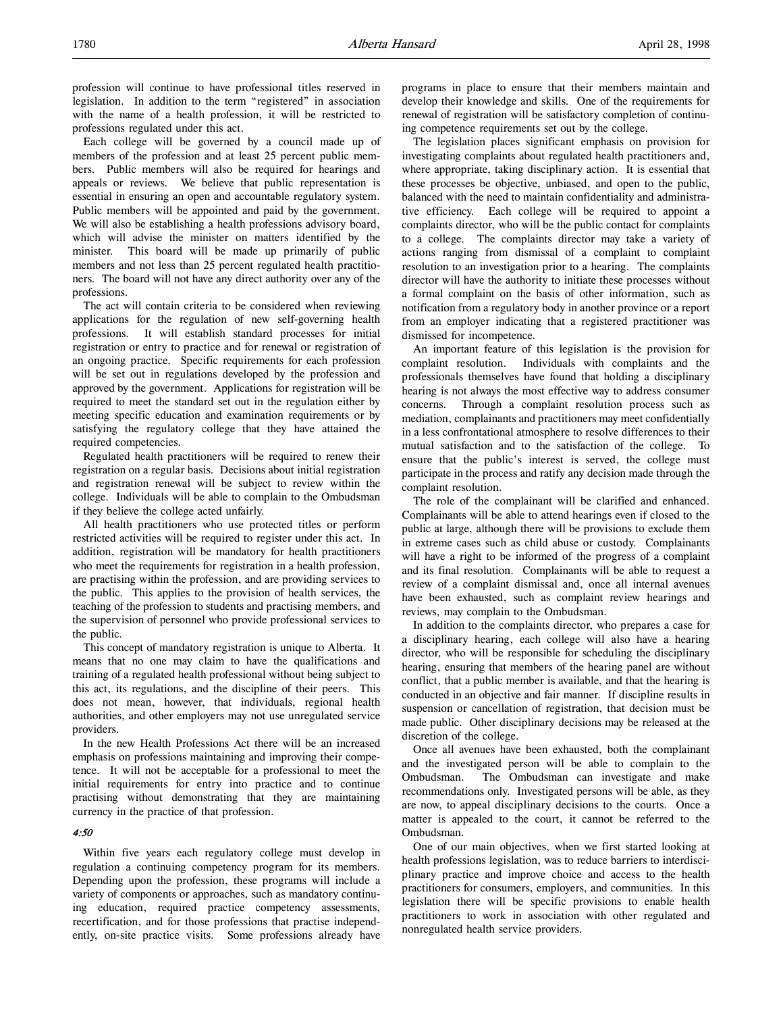Each college will be governed by a council made up of members of the profession and at least 25 percent public members. Public members will also be required for hearings and appeals or reviews. We believe that public representation is essential in ensuring an open and accountable regulatory system. Public members will be appointed and paid by the government. We will also be establishing a health professions advisory board, which will advise the minister on matters identified by the minister. This board will be made up primarily of public members and not less than 25 percent regulated health practitioners. The board will not have any direct authority over any of the professions.

The act will contain criteria to be considered when reviewing applications for the regulation of new self-governing health professions. It will establish standard processes for initial registration or entry to practice and for renewal or registration of an ongoing practice. Specific requirements for each profession will be set out in regulations developed by the profession and approved by the government. Applications for registration will be required to meet the standard set out in the regulation either by meeting specific education and examination requirements or by satisfying the regulatory college that they have attained the required competencies.

Regulated health practitioners will be required to renew their registration on a regular basis. Decisions about initial registration and registration renewal will be subject to review within the college. Individuals will be able to complain to the Ombudsman if they believe the college acted unfairly.

All health practitioners who use protected titles or perform restricted activities will be required to register under this act. In addition, registration will be mandatory for health practitioners who meet the requirements for registration in a health profession, are practising within the profession, and are providing services to the public. This applies to the provision of health services, the teaching of the profession to students and practising members, and the supervision of personnel who provide professional services to the public.

This concept of mandatory registration is unique to Alberta. It means that no one may claim to have the qualifications and training of a regulated health professional without being subject to this act, its regulations, and the discipline of their peers. This does not mean, however, that individuals, regional health authorities, and other employers may not use unregulated service providers.

In the new Health Professions Act there will be an increased emphasis on professions maintaining and improving their competence. It will not be acceptable for a professional to meet the initial requirements for entry into practice and to continue practising without demonstrating that they are maintaining currency in the practice of that profession.

## 4:50

Within five years each regulatory college must develop in regulation a continuing competency program for its members. Depending upon the profession, these programs will include a variety of components or approaches, such as mandatory continuing education, required practice competency assessments, recertification, and for those professions that practise independently, on-site practice visits. Some professions already have programs in place to ensure that their members maintain and develop their knowledge and skills. One of the requirements for renewal of registration will be satisfactory completion of continuing competence requirements set out by the college.

The legislation places significant emphasis on provision for investigating complaints about regulated health practitioners and, where appropriate, taking disciplinary action. It is essential that these processes be objective, unbiased, and open to the public, balanced with the need to maintain confidentiality and administrative efficiency. Each college will be required to appoint a complaints director, who will be the public contact for complaints to a college. The complaints director may take a variety of actions ranging from dismissal of a complaint to complaint resolution to an investigation prior to a hearing. The complaints director will have the authority to initiate these processes without a formal complaint on the basis of other information, such as notification from a regulatory body in another province or a report from an employer indicating that a registered practitioner was dismissed for incompetence.

An important feature of this legislation is the provision for complaint resolution. Individuals with complaints and the professionals themselves have found that holding a disciplinary hearing is not always the most effective way to address consumer concerns. Through a complaint resolution process such as mediation, complainants and practitioners may meet confidentially in a less confrontational atmosphere to resolve differences to their mutual satisfaction and to the satisfaction of the college. To ensure that the public's interest is served, the college must participate in the process and ratify any decision made through the complaint resolution.

The role of the complainant will be clarified and enhanced. Complainants will be able to attend hearings even if closed to the public at large, although there will be provisions to exclude them in extreme cases such as child abuse or custody. Complainants will have a right to be informed of the progress of a complaint and its final resolution. Complainants will be able to request a review of a complaint dismissal and, once all internal avenues have been exhausted, such as complaint review hearings and reviews, may complain to the Ombudsman.

In addition to the complaints director, who prepares a case for a disciplinary hearing, each college will also have a hearing director, who will be responsible for scheduling the disciplinary hearing, ensuring that members of the hearing panel are without conflict, that a public member is available, and that the hearing is conducted in an objective and fair manner. If discipline results in suspension or cancellation of registration, that decision must be made public. Other disciplinary decisions may be released at the discretion of the college.

Once all avenues have been exhausted, both the complainant and the investigated person will be able to complain to the Ombudsman. The Ombudsman can investigate and make recommendations only. Investigated persons will be able, as they are now, to appeal disciplinary decisions to the courts. Once a matter is appealed to the court, it cannot be referred to the Ombudsman.

One of our main objectives, when we first started looking at health professions legislation, was to reduce barriers to interdisciplinary practice and improve choice and access to the health practitioners for consumers, employers, and communities. In this legislation there will be specific provisions to enable health practitioners to work in association with other regulated and nonregulated health service providers.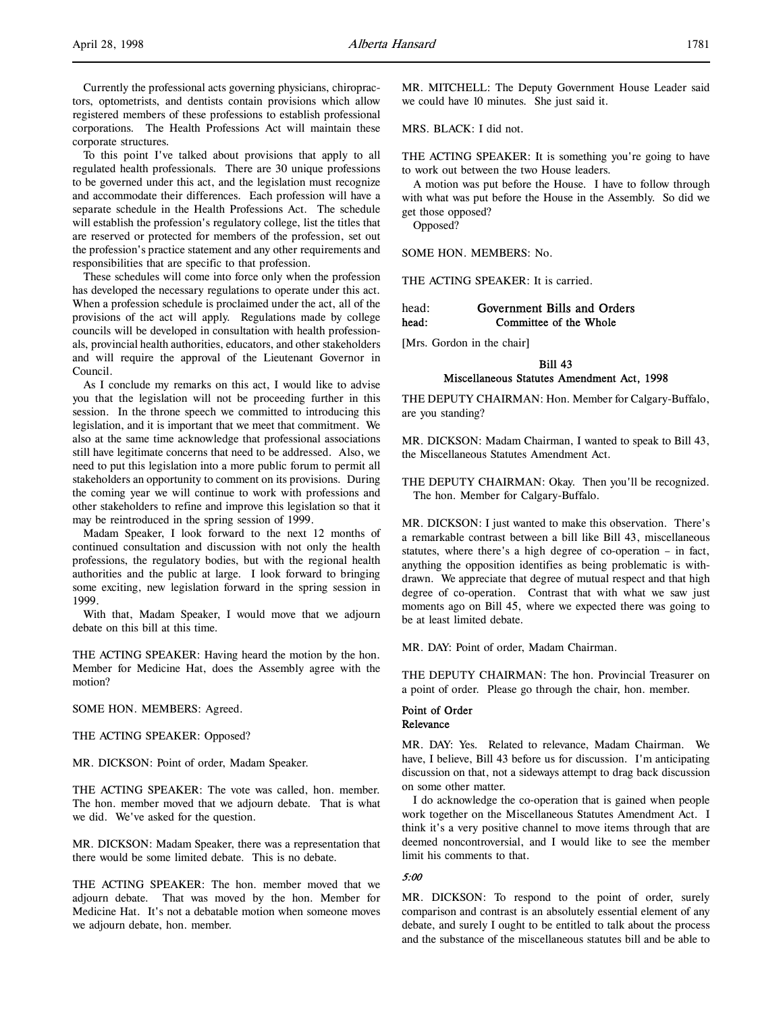Currently the professional acts governing physicians, chiropractors, optometrists, and dentists contain provisions which allow registered members of these professions to establish professional corporations. The Health Professions Act will maintain these corporate structures.

To this point I've talked about provisions that apply to all regulated health professionals. There are 30 unique professions to be governed under this act, and the legislation must recognize and accommodate their differences. Each profession will have a separate schedule in the Health Professions Act. The schedule will establish the profession's regulatory college, list the titles that are reserved or protected for members of the profession, set out the profession's practice statement and any other requirements and responsibilities that are specific to that profession.

These schedules will come into force only when the profession has developed the necessary regulations to operate under this act. When a profession schedule is proclaimed under the act, all of the provisions of the act will apply. Regulations made by college councils will be developed in consultation with health professionals, provincial health authorities, educators, and other stakeholders and will require the approval of the Lieutenant Governor in Council.

As I conclude my remarks on this act, I would like to advise you that the legislation will not be proceeding further in this session. In the throne speech we committed to introducing this legislation, and it is important that we meet that commitment. We also at the same time acknowledge that professional associations still have legitimate concerns that need to be addressed. Also, we need to put this legislation into a more public forum to permit all stakeholders an opportunity to comment on its provisions. During the coming year we will continue to work with professions and other stakeholders to refine and improve this legislation so that it may be reintroduced in the spring session of 1999.

Madam Speaker, I look forward to the next 12 months of continued consultation and discussion with not only the health professions, the regulatory bodies, but with the regional health authorities and the public at large. I look forward to bringing some exciting, new legislation forward in the spring session in 1999.

With that, Madam Speaker, I would move that we adjourn debate on this bill at this time.

THE ACTING SPEAKER: Having heard the motion by the hon. Member for Medicine Hat, does the Assembly agree with the motion?

SOME HON. MEMBERS: Agreed.

THE ACTING SPEAKER: Opposed?

MR. DICKSON: Point of order, Madam Speaker.

THE ACTING SPEAKER: The vote was called, hon. member. The hon. member moved that we adjourn debate. That is what we did. We've asked for the question.

MR. DICKSON: Madam Speaker, there was a representation that there would be some limited debate. This is no debate.

THE ACTING SPEAKER: The hon. member moved that we adjourn debate. That was moved by the hon. Member for Medicine Hat. It's not a debatable motion when someone moves we adjourn debate, hon. member.

MR. MITCHELL: The Deputy Government House Leader said we could have 10 minutes. She just said it.

MRS. BLACK: I did not.

THE ACTING SPEAKER: It is something you're going to have to work out between the two House leaders.

A motion was put before the House. I have to follow through with what was put before the House in the Assembly. So did we get those opposed?

Opposed?

SOME HON. MEMBERS: No.

THE ACTING SPEAKER: It is carried.

| head: | Government Bills and Orders |
|-------|-----------------------------|
| head: | Committee of the Whole      |

[Mrs. Gordon in the chair]

Bill 43 Miscellaneous Statutes Amendment Act, 1998

THE DEPUTY CHAIRMAN: Hon. Member for Calgary-Buffalo, are you standing?

MR. DICKSON: Madam Chairman, I wanted to speak to Bill 43, the Miscellaneous Statutes Amendment Act.

THE DEPUTY CHAIRMAN: Okay. Then you'll be recognized. The hon. Member for Calgary-Buffalo.

MR. DICKSON: I just wanted to make this observation. There's a remarkable contrast between a bill like Bill 43, miscellaneous statutes, where there's a high degree of co-operation – in fact, anything the opposition identifies as being problematic is withdrawn. We appreciate that degree of mutual respect and that high degree of co-operation. Contrast that with what we saw just moments ago on Bill 45, where we expected there was going to be at least limited debate.

MR. DAY: Point of order, Madam Chairman.

THE DEPUTY CHAIRMAN: The hon. Provincial Treasurer on a point of order. Please go through the chair, hon. member.

## Point of Order Relevance

MR. DAY: Yes. Related to relevance, Madam Chairman. We have, I believe, Bill 43 before us for discussion. I'm anticipating discussion on that, not a sideways attempt to drag back discussion on some other matter.

I do acknowledge the co-operation that is gained when people work together on the Miscellaneous Statutes Amendment Act. I think it's a very positive channel to move items through that are deemed noncontroversial, and I would like to see the member limit his comments to that.

### 5:00

MR. DICKSON: To respond to the point of order, surely comparison and contrast is an absolutely essential element of any debate, and surely I ought to be entitled to talk about the process and the substance of the miscellaneous statutes bill and be able to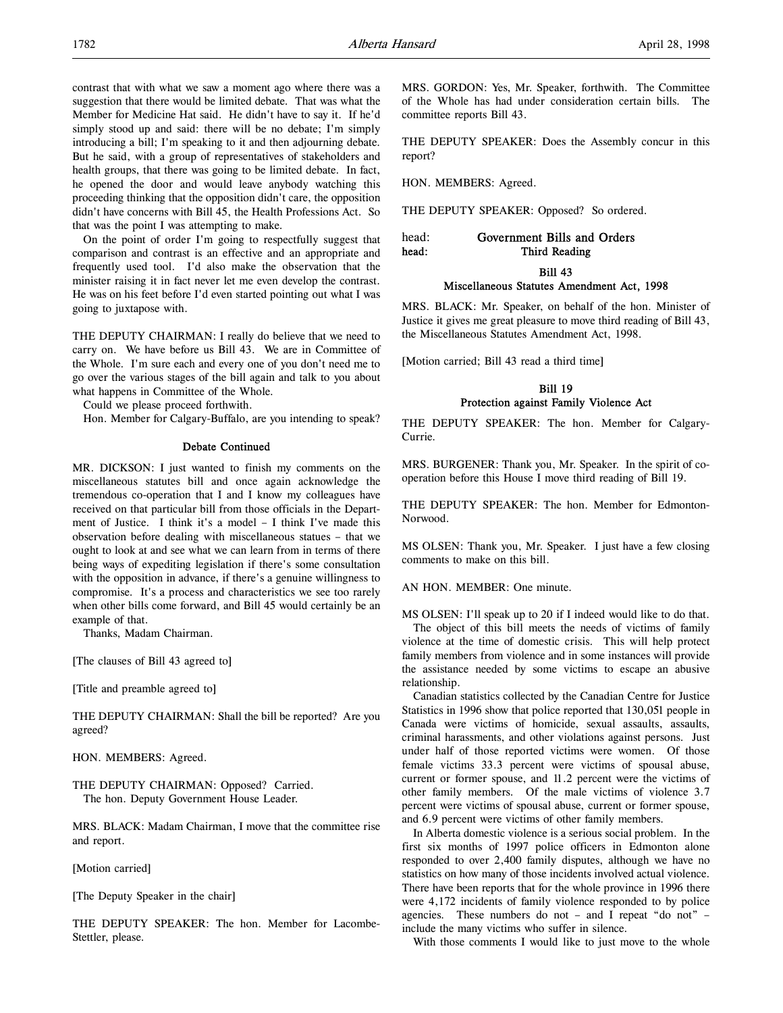contrast that with what we saw a moment ago where there was a suggestion that there would be limited debate. That was what the Member for Medicine Hat said. He didn't have to say it. If he'd simply stood up and said: there will be no debate; I'm simply introducing a bill; I'm speaking to it and then adjourning debate. But he said, with a group of representatives of stakeholders and health groups, that there was going to be limited debate. In fact, he opened the door and would leave anybody watching this proceeding thinking that the opposition didn't care, the opposition didn't have concerns with Bill 45, the Health Professions Act. So that was the point I was attempting to make.

On the point of order I'm going to respectfully suggest that comparison and contrast is an effective and an appropriate and frequently used tool. I'd also make the observation that the minister raising it in fact never let me even develop the contrast. He was on his feet before I'd even started pointing out what I was going to juxtapose with.

THE DEPUTY CHAIRMAN: I really do believe that we need to carry on. We have before us Bill 43. We are in Committee of the Whole. I'm sure each and every one of you don't need me to go over the various stages of the bill again and talk to you about what happens in Committee of the Whole.

Could we please proceed forthwith.

Hon. Member for Calgary-Buffalo, are you intending to speak?

### Debate Continued

MR. DICKSON: I just wanted to finish my comments on the miscellaneous statutes bill and once again acknowledge the tremendous co-operation that I and I know my colleagues have received on that particular bill from those officials in the Department of Justice. I think it's a model – I think I've made this observation before dealing with miscellaneous statues – that we ought to look at and see what we can learn from in terms of there being ways of expediting legislation if there's some consultation with the opposition in advance, if there's a genuine willingness to compromise. It's a process and characteristics we see too rarely when other bills come forward, and Bill 45 would certainly be an example of that.

Thanks, Madam Chairman.

[The clauses of Bill 43 agreed to]

[Title and preamble agreed to]

THE DEPUTY CHAIRMAN: Shall the bill be reported? Are you agreed?

HON. MEMBERS: Agreed.

THE DEPUTY CHAIRMAN: Opposed? Carried. The hon. Deputy Government House Leader.

MRS. BLACK: Madam Chairman, I move that the committee rise and report.

[Motion carried]

[The Deputy Speaker in the chair]

THE DEPUTY SPEAKER: The hon. Member for Lacombe-Stettler, please.

MRS. GORDON: Yes, Mr. Speaker, forthwith. The Committee of the Whole has had under consideration certain bills. The committee reports Bill 43.

THE DEPUTY SPEAKER: Does the Assembly concur in this report?

HON. MEMBERS: Agreed.

THE DEPUTY SPEAKER: Opposed? So ordered.

head: Government Bills and Orders head: Third Reading

Bill 43

#### Miscellaneous Statutes Amendment Act, 1998

MRS. BLACK: Mr. Speaker, on behalf of the hon. Minister of Justice it gives me great pleasure to move third reading of Bill 43, the Miscellaneous Statutes Amendment Act, 1998.

[Motion carried; Bill 43 read a third time]

## Bill 19 Protection against Family Violence Act

THE DEPUTY SPEAKER: The hon. Member for Calgary-Currie.

MRS. BURGENER: Thank you, Mr. Speaker. In the spirit of cooperation before this House I move third reading of Bill 19.

THE DEPUTY SPEAKER: The hon. Member for Edmonton-Norwood.

MS OLSEN: Thank you, Mr. Speaker. I just have a few closing comments to make on this bill.

AN HON. MEMBER: One minute.

MS OLSEN: I'll speak up to 20 if I indeed would like to do that. The object of this bill meets the needs of victims of family violence at the time of domestic crisis. This will help protect family members from violence and in some instances will provide the assistance needed by some victims to escape an abusive relationship.

Canadian statistics collected by the Canadian Centre for Justice Statistics in 1996 show that police reported that 130,051 people in Canada were victims of homicide, sexual assaults, assaults, criminal harassments, and other violations against persons. Just under half of those reported victims were women. Of those female victims 33.3 percent were victims of spousal abuse, current or former spouse, and 11.2 percent were the victims of other family members. Of the male victims of violence 3.7 percent were victims of spousal abuse, current or former spouse, and 6.9 percent were victims of other family members.

In Alberta domestic violence is a serious social problem. In the first six months of 1997 police officers in Edmonton alone responded to over 2,400 family disputes, although we have no statistics on how many of those incidents involved actual violence. There have been reports that for the whole province in 1996 there were 4,172 incidents of family violence responded to by police agencies. These numbers do not – and I repeat "do not" – include the many victims who suffer in silence.

With those comments I would like to just move to the whole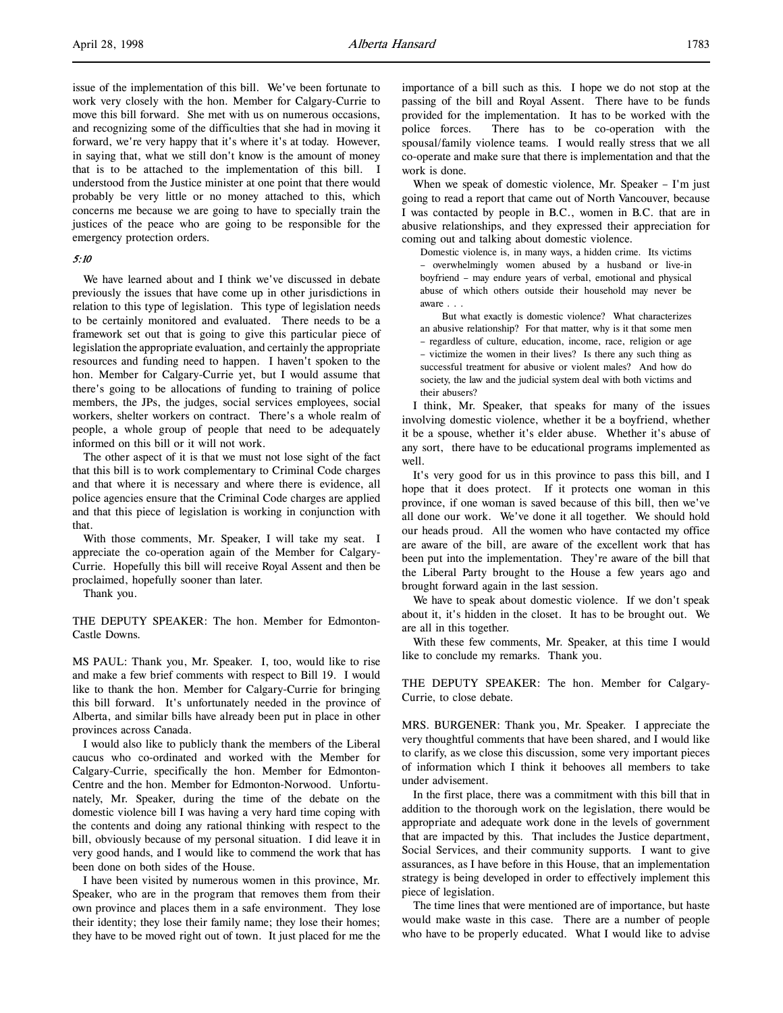issue of the implementation of this bill. We've been fortunate to work very closely with the hon. Member for Calgary-Currie to move this bill forward. She met with us on numerous occasions, and recognizing some of the difficulties that she had in moving it forward, we're very happy that it's where it's at today. However, in saying that, what we still don't know is the amount of money that is to be attached to the implementation of this bill. I understood from the Justice minister at one point that there would probably be very little or no money attached to this, which concerns me because we are going to have to specially train the justices of the peace who are going to be responsible for the emergency protection orders.

#### 5:10

We have learned about and I think we've discussed in debate previously the issues that have come up in other jurisdictions in relation to this type of legislation. This type of legislation needs to be certainly monitored and evaluated. There needs to be a framework set out that is going to give this particular piece of legislation the appropriate evaluation, and certainly the appropriate resources and funding need to happen. I haven't spoken to the hon. Member for Calgary-Currie yet, but I would assume that there's going to be allocations of funding to training of police members, the JPs, the judges, social services employees, social workers, shelter workers on contract. There's a whole realm of people, a whole group of people that need to be adequately informed on this bill or it will not work.

The other aspect of it is that we must not lose sight of the fact that this bill is to work complementary to Criminal Code charges and that where it is necessary and where there is evidence, all police agencies ensure that the Criminal Code charges are applied and that this piece of legislation is working in conjunction with that.

With those comments, Mr. Speaker, I will take my seat. I appreciate the co-operation again of the Member for Calgary-Currie. Hopefully this bill will receive Royal Assent and then be proclaimed, hopefully sooner than later.

Thank you.

THE DEPUTY SPEAKER: The hon. Member for Edmonton-Castle Downs.

MS PAUL: Thank you, Mr. Speaker. I, too, would like to rise and make a few brief comments with respect to Bill 19. I would like to thank the hon. Member for Calgary-Currie for bringing this bill forward. It's unfortunately needed in the province of Alberta, and similar bills have already been put in place in other provinces across Canada.

I would also like to publicly thank the members of the Liberal caucus who co-ordinated and worked with the Member for Calgary-Currie, specifically the hon. Member for Edmonton-Centre and the hon. Member for Edmonton-Norwood. Unfortunately, Mr. Speaker, during the time of the debate on the domestic violence bill I was having a very hard time coping with the contents and doing any rational thinking with respect to the bill, obviously because of my personal situation. I did leave it in very good hands, and I would like to commend the work that has been done on both sides of the House.

I have been visited by numerous women in this province, Mr. Speaker, who are in the program that removes them from their own province and places them in a safe environment. They lose their identity; they lose their family name; they lose their homes; they have to be moved right out of town. It just placed for me the

importance of a bill such as this. I hope we do not stop at the passing of the bill and Royal Assent. There have to be funds provided for the implementation. It has to be worked with the police forces. There has to be co-operation with the spousal/family violence teams. I would really stress that we all co-operate and make sure that there is implementation and that the work is done.

When we speak of domestic violence, Mr. Speaker – I'm just going to read a report that came out of North Vancouver, because I was contacted by people in B.C., women in B.C. that are in abusive relationships, and they expressed their appreciation for coming out and talking about domestic violence.

Domestic violence is, in many ways, a hidden crime. Its victims – overwhelmingly women abused by a husband or live-in boyfriend – may endure years of verbal, emotional and physical abuse of which others outside their household may never be aware . . .

But what exactly is domestic violence? What characterizes an abusive relationship? For that matter, why is it that some men – regardless of culture, education, income, race, religion or age – victimize the women in their lives? Is there any such thing as successful treatment for abusive or violent males? And how do society, the law and the judicial system deal with both victims and their abusers?

I think, Mr. Speaker, that speaks for many of the issues involving domestic violence, whether it be a boyfriend, whether it be a spouse, whether it's elder abuse. Whether it's abuse of any sort, there have to be educational programs implemented as well.

It's very good for us in this province to pass this bill, and I hope that it does protect. If it protects one woman in this province, if one woman is saved because of this bill, then we've all done our work. We've done it all together. We should hold our heads proud. All the women who have contacted my office are aware of the bill, are aware of the excellent work that has been put into the implementation. They're aware of the bill that the Liberal Party brought to the House a few years ago and brought forward again in the last session.

We have to speak about domestic violence. If we don't speak about it, it's hidden in the closet. It has to be brought out. We are all in this together.

With these few comments, Mr. Speaker, at this time I would like to conclude my remarks. Thank you.

THE DEPUTY SPEAKER: The hon. Member for Calgary-Currie, to close debate.

MRS. BURGENER: Thank you, Mr. Speaker. I appreciate the very thoughtful comments that have been shared, and I would like to clarify, as we close this discussion, some very important pieces of information which I think it behooves all members to take under advisement.

In the first place, there was a commitment with this bill that in addition to the thorough work on the legislation, there would be appropriate and adequate work done in the levels of government that are impacted by this. That includes the Justice department, Social Services, and their community supports. I want to give assurances, as I have before in this House, that an implementation strategy is being developed in order to effectively implement this piece of legislation.

The time lines that were mentioned are of importance, but haste would make waste in this case. There are a number of people who have to be properly educated. What I would like to advise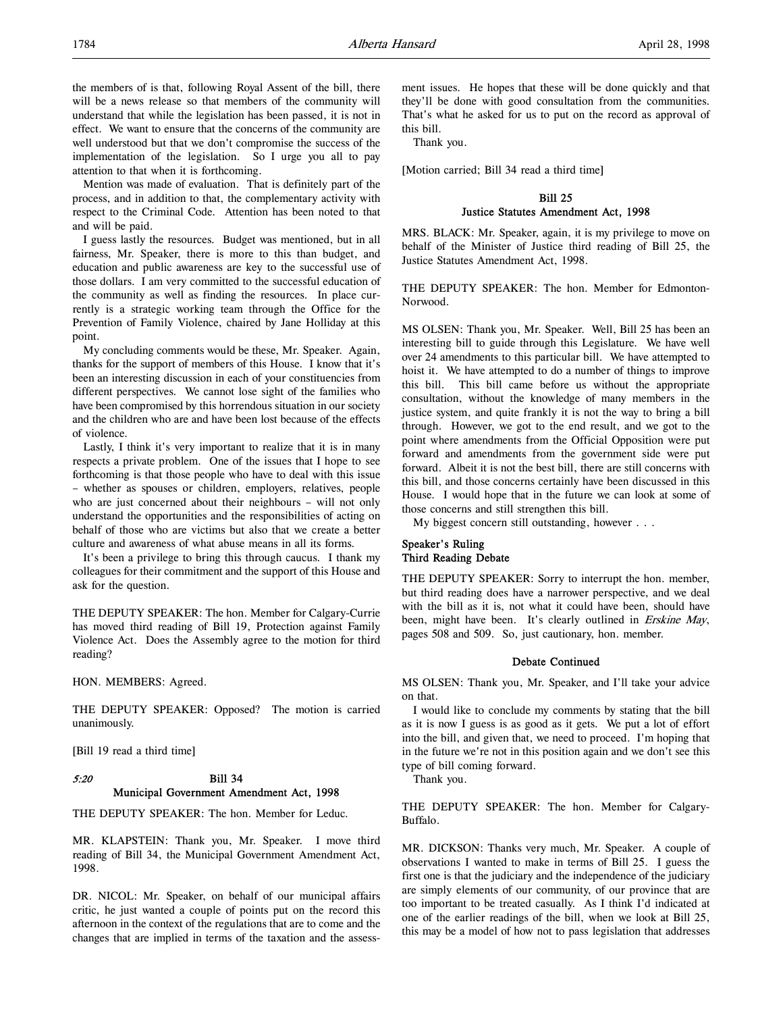the members of is that, following Royal Assent of the bill, there will be a news release so that members of the community will understand that while the legislation has been passed, it is not in effect. We want to ensure that the concerns of the community are well understood but that we don't compromise the success of the implementation of the legislation. So I urge you all to pay attention to that when it is forthcoming.

Mention was made of evaluation. That is definitely part of the process, and in addition to that, the complementary activity with respect to the Criminal Code. Attention has been noted to that and will be paid.

I guess lastly the resources. Budget was mentioned, but in all fairness, Mr. Speaker, there is more to this than budget, and education and public awareness are key to the successful use of those dollars. I am very committed to the successful education of the community as well as finding the resources. In place currently is a strategic working team through the Office for the Prevention of Family Violence, chaired by Jane Holliday at this point.

My concluding comments would be these, Mr. Speaker. Again, thanks for the support of members of this House. I know that it's been an interesting discussion in each of your constituencies from different perspectives. We cannot lose sight of the families who have been compromised by this horrendous situation in our society and the children who are and have been lost because of the effects of violence.

Lastly, I think it's very important to realize that it is in many respects a private problem. One of the issues that I hope to see forthcoming is that those people who have to deal with this issue – whether as spouses or children, employers, relatives, people who are just concerned about their neighbours – will not only understand the opportunities and the responsibilities of acting on behalf of those who are victims but also that we create a better culture and awareness of what abuse means in all its forms.

It's been a privilege to bring this through caucus. I thank my colleagues for their commitment and the support of this House and ask for the question.

THE DEPUTY SPEAKER: The hon. Member for Calgary-Currie has moved third reading of Bill 19, Protection against Family Violence Act. Does the Assembly agree to the motion for third reading?

HON. MEMBERS: Agreed.

THE DEPUTY SPEAKER: Opposed? The motion is carried unanimously.

[Bill 19 read a third time]

## 5:20 Bill 34 Municipal Government Amendment Act, 1998

THE DEPUTY SPEAKER: The hon. Member for Leduc.

MR. KLAPSTEIN: Thank you, Mr. Speaker. I move third reading of Bill 34, the Municipal Government Amendment Act, 1998.

DR. NICOL: Mr. Speaker, on behalf of our municipal affairs critic, he just wanted a couple of points put on the record this afternoon in the context of the regulations that are to come and the changes that are implied in terms of the taxation and the assessment issues. He hopes that these will be done quickly and that they'll be done with good consultation from the communities. That's what he asked for us to put on the record as approval of this bill.

Thank you.

[Motion carried; Bill 34 read a third time]

## Bill 25 Justice Statutes Amendment Act, 1998

MRS. BLACK: Mr. Speaker, again, it is my privilege to move on behalf of the Minister of Justice third reading of Bill 25, the Justice Statutes Amendment Act, 1998.

THE DEPUTY SPEAKER: The hon. Member for Edmonton-Norwood.

MS OLSEN: Thank you, Mr. Speaker. Well, Bill 25 has been an interesting bill to guide through this Legislature. We have well over 24 amendments to this particular bill. We have attempted to hoist it. We have attempted to do a number of things to improve this bill. This bill came before us without the appropriate consultation, without the knowledge of many members in the justice system, and quite frankly it is not the way to bring a bill through. However, we got to the end result, and we got to the point where amendments from the Official Opposition were put forward and amendments from the government side were put forward. Albeit it is not the best bill, there are still concerns with this bill, and those concerns certainly have been discussed in this House. I would hope that in the future we can look at some of those concerns and still strengthen this bill.

My biggest concern still outstanding, however . . .

## Speaker's Ruling Third Reading Debate

THE DEPUTY SPEAKER: Sorry to interrupt the hon. member, but third reading does have a narrower perspective, and we deal with the bill as it is, not what it could have been, should have been, might have been. It's clearly outlined in Erskine May, pages 508 and 509. So, just cautionary, hon. member.

## Debate Continued

MS OLSEN: Thank you, Mr. Speaker, and I'll take your advice on that.

I would like to conclude my comments by stating that the bill as it is now I guess is as good as it gets. We put a lot of effort into the bill, and given that, we need to proceed. I'm hoping that in the future we're not in this position again and we don't see this type of bill coming forward.

Thank you.

THE DEPUTY SPEAKER: The hon. Member for Calgary-Buffalo.

MR. DICKSON: Thanks very much, Mr. Speaker. A couple of observations I wanted to make in terms of Bill 25. I guess the first one is that the judiciary and the independence of the judiciary are simply elements of our community, of our province that are too important to be treated casually. As I think I'd indicated at one of the earlier readings of the bill, when we look at Bill 25, this may be a model of how not to pass legislation that addresses